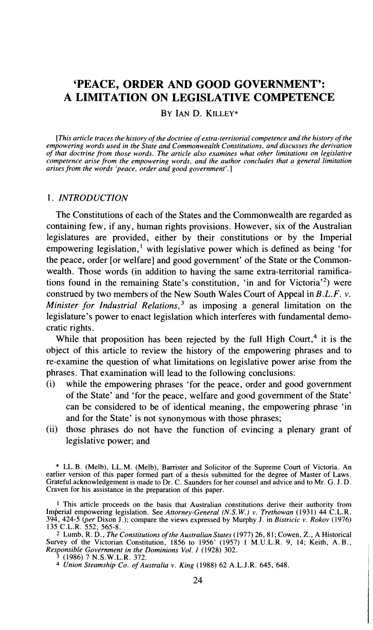# **'PEACE, ORDER AND GOOD GOVERNMENT': A LIMITATION ON LEGISLATIVE COMPETENCE**

BY IAN D. KILLEY\*

*[This article traces the history of the doctrine of extra-territorial competence and the histov of the empowering words used in the State and Commonwealth Constitutions, and discusses the derivation of that doctrine from those words. The article also examines what other limitations on legislative competence arise from the empowering words, and the author concludes that a general limitation arises from the words 'peace, order and good government'.]* 

## 1. *INTRODUCTION*

The Constitutions of each of the States and the Commonwealth are regarded as containing few, if any, human rights provisions. However, six of the Australian legislatures are provided, either by their constitutions or by the Imperial empowering legislation,' with legislative power which is defined as being 'for the peace, order [or welfare] and good government' of the State or the Commonwealth. Those words (in addition to having the same extra-territorial ramifications found in the remaining State's constitution, 'in and for Victoria'<sup>2</sup>) were construed by two members of the New South Wales Court of Appeal in  $B.L.F. v.$ *Minister for Industrial Relations*,<sup>3</sup> as imposing a general limitation on the legislature's power to enact legislation which interferes with fundamental democratic rights.

While that proposition has been rejected by the full High Court, $4$  it is the object of this article to review the history of the empowering phrases and to re-examine the question of what limitations on legislative power arise from the phrases. That examination will lead to the following conclusions:

- (i) while the empowering phrases 'for the peace, order and good government of the State' and 'for the peace, welfare and good government of the State' can be considered to be of identical meaning, the empowering phrase 'in and for the State' is not synonymous with those phrases;
- (ii) those phrases do not have the function of evincing a plenary grant of legislative power; and

**2** Lumb, R. D., *The Constitutions of the Australian States* (1977) 26, 8 1; Cowen, Z., A Historical Survey of the Victorian Constitution, 1856 to 1956' (1957) 1 M.U.L.R. 9, 14; Keith, A. B., Responsible Government in the Dominions Vol. *1* (1928) 302.

<sup>\*</sup> LL.B. (Melb), LL.M. (Melb), Barrister and Solicitor of the Supreme Court of Victoria. An earlier version of this paper formed part of a thesis submitted for the degree of Master of Laws. Grateful acknowledgement is made to Dr. C. Saunders for her counsel and advice and to Mr. G. J. D. Craven for his assistance in the preparation of this paper.

**<sup>I</sup>**This article proceeds on the basis that Australian constitutions derive their authority from Imperial empowering legislation. See *Attorney-General* (N.S.W.) *v. Trethowan* (1931) 44 C.L.R. 394, 424-5 *@er* Dixon J.); compare the views expressed by Murphy J. in *Bistricic v. Rokov* (1976) 135 C.L.R. 552, 565-8.

**<sup>3</sup>** (1986) 7 N.S.W.L.R. 372.

<sup>4</sup> *Union Steamship Co. of Australia v. King* (1988) 62 A.L.J.R. 645, 648. 1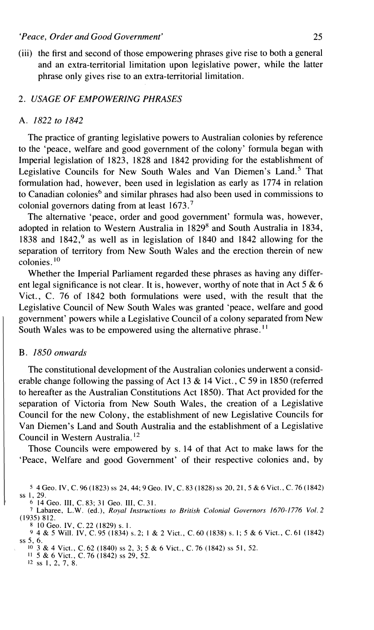(iii) the first and second of those empowering phrases give rise to both a general and an extra-territorial limitation upon legislative power, while the latter phrase only gives rise to an extra-territorial limitation.

## 2. *USAGE* OF *EMPOWERING PHRASES*

## A. 1822 to 1842

The practice of granting legislative powers to Australian colonies by reference to the 'peace, welfare and good government of the colony' formula began with Imperial legislation of 1823, 1828 and 1842 providing for the establishment of Legislative Councils for New South Wales and Van Diemen's Land.<sup>5</sup> That formulation had, however, been used in legislation as early as 1774 in relation to Canadian colonies<sup>6</sup> and similar phrases had also been used in commissions to colonial governors dating from at least 1673.'

The alternative 'peace, order and good government' formula was, however, adopted in relation to Western Australia in 1829' and South Australia in 1834, 1838 and 1842,<sup>9</sup> as well as in legislation of 1840 and 1842 allowing for the separation of territory from New South Wales and the erection therein of new colonies. $10$ 

Whether the Imperial Parliament regarded these phrases as having any different legal significance is not clear. It is, however, worthy of note that in Act  $5 & 6$ Vict., C. 76 of 1842 both formulations were used, with the result that the Legislative Council of New South Wales was granted 'peace, welfare and good government' powers while a Legislative Council of a colony separated from New South Wales was to be empowered using the alternative phrase.<sup>11</sup>

#### *B. 1850 onwards*

The constitutional development of the Australian colonies underwent a considerable change following the passing of Act 13 & 14 Vict., C 59 in 1850 (referred to hereafter as the Australian Constitutions Act 1850). That Act provided for the separation of Victoria from New South Wales, the creation of a Legislative Council for the new Colony, the establishment of new Legislative Councils for Van Diemen's Land and South Australia and the establishment of a Legislative Council in Western Australia. l2

Those Councils were empowered by s. 14 of that Act to make laws for the 'Peace, Welfare and good Government' of their respective colonies and, by

*<sup>6</sup>*14 Geo. 111, C. 83; **3** 1 Geo. 111, C. 3 1.

**12** ss 1, 2, 7, 8.

<sup>5 4</sup> Geo. IV, C. 96 (1823) ss 24, 44; 9 Geo. IV, C. 83 (1828) ss 20, 21, 5 & 6 Vict., C. 76 (1842) ss 1, 29.

Labaree, L.W. (ed.), *Royal Instructions to British Colonial Governors 1670-1776 Vol.* **2**  (1935) 812.

<sup>810~</sup>eo. IV, C. 22 (1829) s. I. 4 & *5* Will. IV, C. 95 (1834) s. 2; 1 & 2 Vict., C. 60 (1838) s. I; 5 & 6 Vict., C. 61 (1842) **ss 5,** *6.* 

<sup>10 3</sup> & 4 Vict., C.62 (1840) **ss** 2, **3;** 5 & 6 Vict., C. 76 (1842) ss 51, 52 11 5 & 6 Vict., C. 76 (1842) ss 29, 52.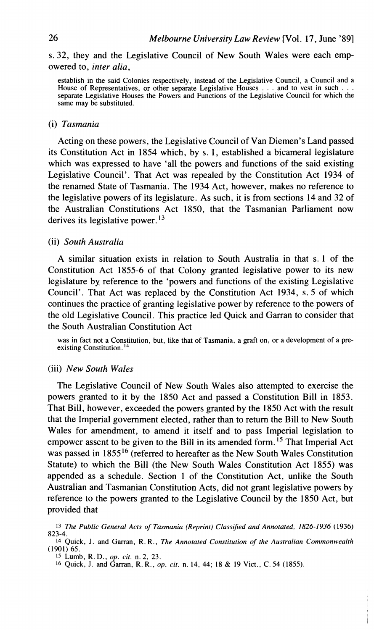# s. 32, they and the Legislative Council of New South Wales were each empowered to, *inter alia,*

establish in the said Colonies respectively, instead of the Legislative Council, a Council and a House of Representatives, or other separate Legislative Houses . . . and to vest in such . separate Legislative Houses the Powers and Functions of the Legislative Council for which the same may be substituted.

#### (i) *Tasmania*

Acting on these powers, the Legislative Council of Van Diemen's Land passed its Constitution Act in 1854 which, by s. 1, established a bicameral legislature which was expressed to have 'all the powers and functions of the said existing Legislative Council'. That Act was repealed by the Constitution Act 1934 of the renamed State of Tasmania. The 1934 Act, however, makes no reference to the legislative powers of its legislature. As such, it is from sections 14 and 32 of the Australian Constitutions Act 1850, that the Tasmanian Parliament now derives its legislative power. **l3** 

# (ii) *South Australia*

A similar situation exists in relation to South Australia in that s. 1 of the Constitution Act 1855-6 of that Colony granted legislative power to its new legislature by reference to the 'powers and functions of the existing Legislative Council'. That Act was replaced by the Constitution Act 1934, s. 5 of which continues the practice of granting legislative power by reference to the powers of the old Legislative Council. This practice led Quick and Garran to consider that the South Australian Constitution Act

was in fact not a Constitution, but, like that of Tasmania, a graft on, or a development of a preexisting Constitution.<sup>14</sup>

## (iii) *New South Wales*

The Legislative Council of New South Wales also attempted to exercise the powers granted to it by the 1850 Act and passed a Constitution Bill in 1853. That Bill, however, exceeded the powers granted by the 1850 Act with the result that the Imperial government elected, rather than to return the Bill to New South Wales for amendment, to amend it itself and to pass Imperial legislation to empower assent to be given to the Bill in its amended form.<sup>15</sup> That Imperial Act was passed in 1855<sup>16</sup> (referred to hereafter as the New South Wales Constitution Statute) to which the Bill (the New South Wales Constitution Act 1855) was appended as a schedule. Section 1 of the Constitution Act, unlike the South Australian and Tasmanian Constitution Acts, did not grant legislative powers by reference to the powers granted to the Legislative Council by the 1850 Act, but provided that

<sup>13</sup> *The Public General Acts of Tasmania (Reprint) Classified and Annotated, 1826-1936* (1936) 823-4.

<sup>14</sup> Quick, J. and Garran, R. R., *The Annotated Constitution of the Australian Commonwealth*  (1901) 65.

**<sup>15</sup>**~umb, R. D., *op. cit.* n. 2, 23.

**<sup>16</sup>** Quick, J. and Garran, R. R., *op. cit.* n. 14, 44; 18 & 19 Vict., C. 54 (1855).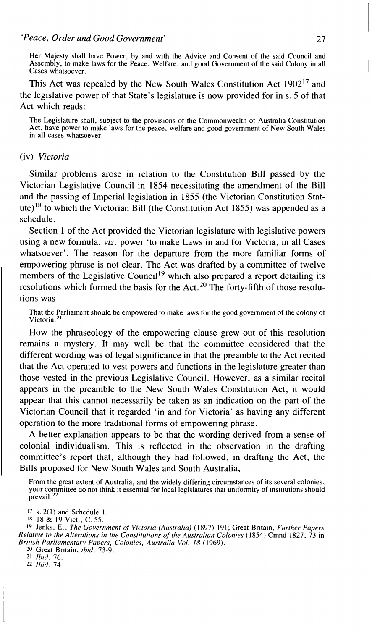# *'Peace, Order and Good Government'* 27

Her Majesty shall have Power, by and with the Advice and Consent of the said Council and Assembly, to make laws for the Peace, Welfare, and good Government of the said Colony in all Cases whatsoever.

This Act was repealed by the New South Wales Constitution Act 1902<sup>17</sup> and the legislative power of that State's legislature is now provided for in s. 5 of that Act which reads:

The Legislature shall, subject to the provisions of the Commonwealth of Australia Constitution Act, have power to make laws for the peace, welfare and good government of New South Wales in all cases whatsoever.

# (iv) *Victoria*

Similar problems arose in relation to the Constitution Bill passed by the Victorian Legislative Council in 1854 necessitating the amendment of the Bill and the passing of Imperial legislation in 1855 (the Victorian Constitution Statute)<sup>18</sup> to which the Victorian Bill (the Constitution Act 1855) was appended as a schedule.

Section 1 of the Act provided the Victorian legislature with legislative powers using a new formula, *viz.* power 'to make Laws in and for Victoria, in all Cases whatsoever'. The reason for the departure from the more familiar forms of empowering phrase is not clear. The Act was drafted by a committee of twelve members of the Legislative Council<sup>19</sup> which also prepared a report detailing its resolutions which formed the basis for the Act.<sup>20</sup> The forty-fifth of those resolutions was

That the Parliament should be empowered to make laws for the good government of the colony of Victoria<sup>21</sup> Victoria.<sup>2</sup>

How the phraseology of the empowering clause grew out of this resolution remains a mystery. It may well be that the committee considered that the different wording was of legal significance in that the preamble to the Act recited that the Act operated to vest powers and functions in the legislature greater than those vested in the previous Legislative Council. However, as a similar recital appears in the preamble to the New South Wales Constitution Act, it would appear that this cannot necessarily be taken as an indication on the part of the Victorian Council that it regarded 'in and for Victoria' as having any different operation to the more traditional forms of empowering phrase.

A better explanation appears to be that the wording derived from a sense of colonial individualism. This is reflected in the observation in the drafting committee's report that, although they had followed, in drafting the Act, the Bills proposed for New South Wales and South Australia,

From the great extent of Australia, and the widely differing circumstances of its several colonies, your committee do not think it essential for local legislatures that uniformity of institutions should prevail.<sup>22</sup>

**<sup>17</sup>** S. **2(** 1) and Schedule I.

**<sup>18</sup>**18 & 19 Vict., C. *55.* 

<sup>19</sup> Jenks, E., *The Government of Victoria (Australia)* (1897) 191; Great Britain, *Further Papers Relative to the Alterations in the Constitutions of the Australian Colonies (1854) Cmnd 1827, 73 in Brltish Parliamentary Papers, Colonies, Australia Vol. 18* (1969).

*<sup>20</sup>* Great Britain, *bid.* 73-9.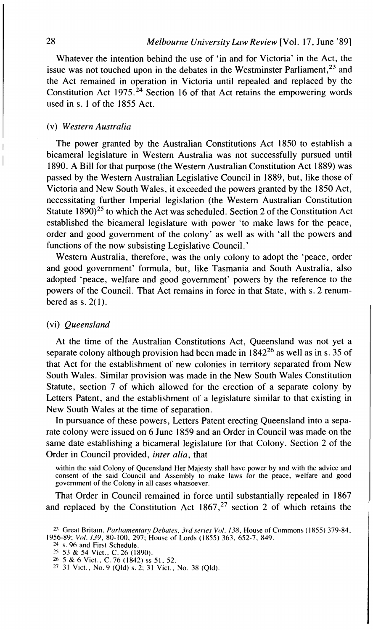Whatever the intention behind the use of 'in and for Victoria' in the Act, the issue was not touched upon in the debates in the Westminster Parliament.<sup>23</sup> and the Act remained in operation in Victoria until repealed and replaced by the Constitution Act 1975.<sup>24</sup> Section 16 of that Act retains the empowering words used in s. 1 of the 1855 Act.

### I (v) *Western Australia*

The power granted by the Australian Constitutions Act 1850 to establish a I bicameral legislature in Western Australia was not successfully pursued until 1890. A Bill for that purpose (the Western Australian Constitution Act 1889) was passed by the Western Australian Legislative Council in 1889, but, like those of Victoria and New South Wales, it exceeded the powers granted by the 1850 Act, necessitating further Imperial legislation (the Western Australian Constitution Statute  $1890)^{25}$  to which the Act was scheduled. Section 2 of the Constitution Act established the bicameral legislature with power 'to make laws for the peace, order and good government of the colony' as well as with 'all the powers and functions of the now subsisting Legislative Council.'

Western Australia, therefore, was the only colony to adopt the 'peace, order and good government' formula, but, like Tasmania and South Australia, also adopted 'peace, welfare and good government' powers by the reference to the powers of the Council. That Act remains in force in that State, with s. 2 renumbered as  $s. 2(1)$ .

# (vi) *Queensland*

At the time of the Australian Constitutions Act, Queensland was not yet a separate colony although provision had been made in  $1842^{26}$  as well as in s. 35 of that Act for the establishment of new colonies in territory separated from New South Wales. Similar provision was made in the New South Wales Constitution Statute, section 7 of which allowed for the erection of a separate colony by Letters Patent, and the establishment of a legislature similar to that existing in New South Wales at the time of separation.

In pursuance of these powers, Letters Patent erecting Queensland into a separate colony were issued on 6 June 1859 and an Order in Council was made on the same date establishing a bicameral legislature for that Colony. Section 2 of the Order in Council provided, *inter alia,* that

within the said Colony of Queensland Her Majesty shall have power by and with the advice and consent of the said Council and Assembly to make laws for the peace, welfare and good government of the Colony in all cases whatsoever.

That Order in Council remained in force until substantially repealed in 1867 and replaced by the Constitution Act  $1867<sup>27</sup>$  section 2 of which retains the

<sup>&</sup>lt;sup>23</sup> Great Britain, *Parliamentary Debates, 3rd series Vol. 138*, House of Commons (1855) 379-84, 1956-89: **VoI.** *139,* 80- 100, 297; House of Lords ( 1855) 363, 652-7. 849.

<sup>14</sup> **s.** 96 and First Schedule.

<sup>25</sup> **53 & 54 Vict., C. 26 (1890).**<br>26 **5 & 6 Vict., C. 76 (1842) ss 51, 52.**<br><sup>27</sup> 31 Vict., No. 9 (Qld) s. 2; 31 Vict., No. 38 (Qld).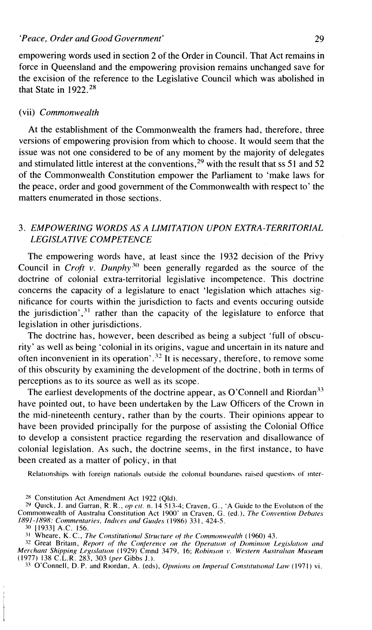empowering words used in section 2 of the Order in Council. That Act remains in force in Queensland and the empowering provision remains unchanged save for the excision of the reference to the Legislative Council which was abolished in that State in  $1922^{28}$ 

### (vii) *Commonwealth*

At the establishment of the Commonwealth the framers had, therefore, three versions of empowering provision from which to choose. It would seem that the issue was not one considered to be of any moment by the majority of delegates and stimulated little interest at the conventions,<sup>29</sup> with the result that ss 51 and 52 of the Commonwealth Constitution empower the Parliament to 'make laws for the peace, order and good government of the Commonwealth with respect to' the matters enumerated in those sections.

# 3. *EMPOWERING WORDS AS A LIMITATION UPON EXTRA-TERRITORIAL LEGISLATIVE COMPETENCE*

The empowering words have, at least since the 1932 decision of the Privy Council in *Croft v. Dunphy*<sup>30</sup> been generally regarded as the source of the doctrine of colonial extra-territorial legislative incompetence. This doctrine concerns the capacity of a legislature to enact 'legislation which attaches significance for courts within the jurisdiction to facts and events occuring outside the jurisdiction', $3<sup>1</sup>$  rather than the capacity of the legislature to enforce that legislation in other jurisdictions.

The doctrine has, however, been described as being a subject 'full of obscurity' as well as being 'colonial in its origins, vague and uncertain in its nature and often inconvenient in its operation'.<sup>32</sup> It is necessary, therefore, to remove some of this obscurity by examining the development of the doctrine, both in terms of perceptions as to its source as well as its scope.

The earliest developments of the doctrine appear, as O'Connell and Riordan<sup>33</sup> have pointed out, to have been undertaken by the Law Officers of the Crown in the mid-nineteenth century, rather than by the courts. Their opinions appear to have been provided principally for the purpose of assisting the Colonial Office to develop a consistent practice regarding the reservation and disallowance of colonial legislation. As such, the doctrine seems, in the first instance, to have been created as a matter of policy, in that

Relationships with foreign nationals outside the colonial boundaries raised questions of inter-

**30** 119331 A.C. 156.

<sup>&</sup>lt;sup>28</sup> Constitution Act Amendment Act 1922 (Old).

<sup>&</sup>lt;sup>29</sup> Quick, J. and Garran, R. R., *op cit.* n. 14 513-4; Craven, G., 'A Guide to the Evolution of the Commonwealth of Australia Constitution Act 1900' in Craven, G. (ed.), *The Convention Debates*<br>1891-1898: Commentaries,

<sup>31</sup> Wheare, K. C., *The Constitutional Structure of the Commonwealth* (1960) 43.

<sup>&</sup>lt;sup>32</sup> Great Britain, *Report of the Conference on the Operation of Dominion Legislation and* <sup>32</sup> Great Britain, *Report of the Conference on the Operation of Dominion Legislation and Merchant Shipping Legislation (1929) Cmnd 3479, 16; <i>Robinson v. Western Australian Museum* (1977) 138 C.L.R. 283, 303 *(per Gibbs* 

<sup>33</sup> O'Connell, D. P. and Riordan, A. (eds), *Opinions on Imperial Constitutional Law* (1971) vi.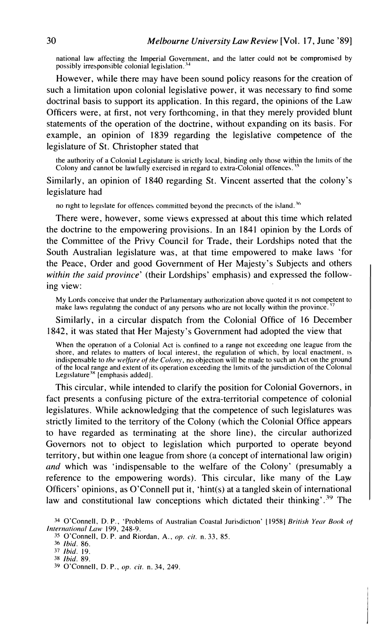national law affecting the Imperial Government, and the latter could not be compromised by possibly irresponsible colonial legislation.<sup>34</sup>

However, while there may have been sound policy reasons for the creation of such a limitation upon colonial legislative power, it was necessary to find some doctrinal basis to support its application. In this regard, the opinions of the Law Officers were, at first, not very forthcoming, in that they merely provided blunt statements of the operation of the doctrine, without expanding on its basis. For example, an opinion of 1839 regarding the legislative competence of the legislature of St. Christopher stated that

the authority of a Colonial Legislature is strictly local, binding only those within the limits of the Colony and cannot be lawfully exercised in regard to extra-Colonial offences.

Similarly, an opinion of 1840 regarding St. Vincent asserted that the colony's legislature had

no right to legislate for offences committed beyond the precincts of the island.<sup>36</sup>

There were, however, some views expressed at about this time which related the doctrine to the empowering provisions. In an 1841 opinion by the Lords of the Committee of the Privy Council for Trade, their Lordships noted that the South Australian legislature was, at that time empowered to make laws 'for the Peace, Order and good Government of Her Majesty's Subjects and others *within the said province'* (their Lordships' emphasis) and expressed the following view:

My Lords conceive that under the Parliamentary authorization above quoted it 1s not competent to make laws regulating the conduct of any persons who are not locally within the province.

Similarly, in a circular dispatch from the Colonial Office of 16 December 1842, it was stated that Her Majesty's Government had adopted the view that

When the operation of a Colonial Act is confined to a range not exceeding one league from the shore, and relates to matters of local interest, the regulation of which, by local enactment, 1s indispensable to *the welfure of the Colony,* no objection will be made to such an Act on the ground of the local range and extent of its operation exceeding the limits of the jurisdiction of the Colonial Legislature<sup>38</sup> [emphasis added].

This circular, while intended to clarify the position for Colonial Governors, in fact presents a confusing picture of the extra-territorial competence of colonial legislatures. While acknowledging that the competence of such legislatures was strictly limited to the territory of the Colony (which the Colonial Office appears to have regarded as terminating at the shore line), the circular authorized Governors not to object to legislation which purported to operate beyond territory, but within one league from shore (a concept of international law origin) *und* which was 'indispensable to the welfare of the Colony' (presumably a reference to the empowering words). This circular, like many of the Lay Officers' opinions, as O'Connell put it, 'hint(s) at a tangled skein of international law and constitutional law conceptions which dictated their thinking'.<sup>39</sup> The

<sup>&</sup>lt;sup>34</sup> O'Connell, D. P., 'Problems of Australian Coastal Jurisdiction' [1958] *British Year Book of <i>International Law* 199, 248-9.

**<sup>35</sup>**O'Connell, D. P. and Riordan, **A,, op.** *cit.* n. 33. 85.

**<sup>36</sup>** *Ibid.* 86.

*<sup>37</sup> Ibid.* 19. **38** *Ibid.* 89.

*<sup>39</sup>* O'Connell, D. P., *op.* **rir.** n. 34, 249.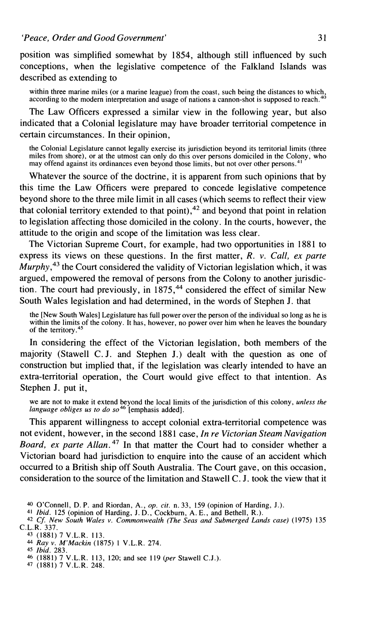position was simplified somewhat by 1854, although still influenced by such conceptions, when the legislative competence of the Falkland Islands was described as extending to

within three marine miles (or a marine league) from the coast, such being the distances to which,<br>according to the modern interpretation and usage of nations a cannon-shot is supposed to reach.<sup>40</sup>

The Law Officers expressed a similar view in the following year, but also indicated that a Colonial legislature may have broader territorial competence in certain circumstances. In their opinion,

the Colonial Legislature cannot legally exercise its jurisdiction beyond its territorial limits (three miles from shore), or at the utmost can only do this over persons domiciled in the Colony, who may offend against its ordinances even beyond those limits, but not over other persons.<sup>4</sup>

Whatever the source of the doctrine, it is apparent from such opinions that by this time the Law Officers were prepared to concede legislative competence beyond shore to the three mile limit in all cases (which seems to reflect their view that colonial territory extended to that point),  $42$  and beyond that point in relation to legislation affecting those domiciled in the colony. In the courts, however, the attitude to the origin and scope of the limitation was less clear.

The Victorian Supreme Court, for example, had two opportunities in 1881 to express its views on these questions. In the first matter, R. *v. Call, ex parte Murphy,43* the Court considered the validity of Victorian legislation which, it was argued, empowered the removal of persons from the Colony to another jurisdiction. The court had previously, in  $1875<sup>44</sup>$  considered the effect of similar New South Wales legislation and had determined, in the words of Stephen J. that

the [New South Wales] Legislature has full power over the person of the individual so long as he is within the limits of the colony. It has, however, no power over him when he leaves the boundary of the territory.<sup>45</sup>

In considering the effect of the Victorian legislation, both members of the majority (Stawell C. J. and Stephen J.) dealt with the question as one of construction but implied that, if the legislation was clearly intended to have an extra-territorial operation, the Court would give effect to that intention. As Stephen J. put it,

we are not to make it extend beyond the local limits of the jurisdiction of this colony, *unless the language obliges us to do so46* [emphasis added].

This apparent willingness to accept colonial extra-territorial competence was not evident, however, in the second 188 1 case, *In re Victorian Steam Navigation Board, ex parte Allan.*<sup>47</sup> In that matter the Court had to consider whether a Victorian board had jurisdiction to enquire into the cause of an accident which occurred to a British ship off South Australia. The Court gave, on this occasion, consideration to the source of the limitation and Stawell C. J. took the view that it

<sup>44</sup>*Ray v. M'Mackin* (1875) 1 V.L.R. 274. 45 *Ibid.* 283.

**<sup>40</sup>** O'Connell, D. P. and Riordan, **A,,** *op. cit.* n. 33, 159 (opinion of Harding, J.).

<sup>41</sup> *Ibid.* 125 (opinion of Harding, J. D., Cockburn, A. E., and Bethell, R.).<br><sup>42</sup> *Cf. New South Wales v. Commonwealth (The Seas and Submerged Lands case)* (1975) 135<br>C.L.R. 337.

**<sup>43</sup>** (1881) 7 V.L.R. 113.

**<sup>46</sup>** (1881) 7 V.L.R. 113, 120; and see 119 *(per* Stawell C.J.). *47* (1881) 7 V.L.R. 248.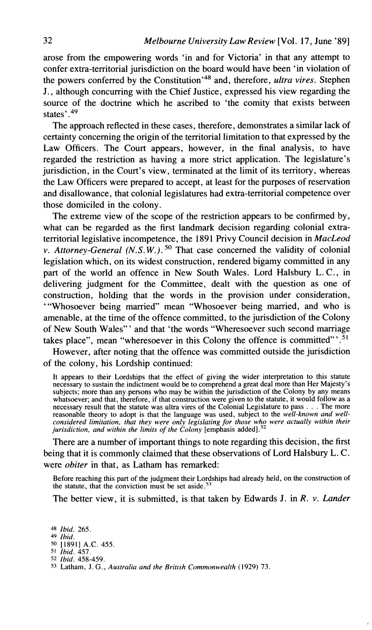arose from the empowering words 'in and for Victoria' in that any attempt to confer extra-territorial jurisdiction on the board would have been 'in violation of the powers conferred by the Constitution<sup>'48</sup> and, therefore, *ultra vires*. Stephen J., although concurring with the Chief Justice, expressed his view regarding the source of the doctrine which he ascribed to 'the comity that exists between states'.<sup>49</sup>

The approach reflected in these cases, therefore, demonstrates a similar lack of certainty concerning the origin of the territorial limitation to that expressed by the Law Officers. The Court appears, however, in the final analysis, to have regarded the restriction as having a more strict application. The legislature's jurisdiction, in the Court's view, terminated at the limit of its territory, whereas the Law Officers were prepared to accept, at least for the purposes of reservation and disallowance, that colonial legislatures had extra-territorial competence over those domiciled in the colony.

The extreme view of the scope of the restriction appears to be confirmed by, what can be regarded as the first landmark decision regarding colonial extraterritorial legislative incompetence, the 1891 Privy Council decision in *MacLeod v. Attorney-General (N.S.W.).*<sup>50</sup> That case concerned the validity of colonial legislation which, on its widest construction, rendered bigamy committed in any part of the world an offence in New South Wales. Lord Halsbury L. C., in delivering judgment for the Committee, dealt with the question as one of construction, holding that the words in the provision under consideration, "'Whosoever being married" mean "Whosoever being married, and who is amenable, at the time of the offence committed, to the jurisdiction of the Colony of New South Wales" ' and that 'the words "Wheresoever such second marriage takes place", mean "wheresoever in this Colony the offence is committed"'.<sup>51</sup>

However, after noting that the offence was committed outside the jurisdiction of the colony, his Lordship continued:

**It appears to their Lordships that the effect of giving the wider interpretation to this statute necessary to sustain the indictment would be to comprehend a great deal more than Her Majesty's subjects; more than any persons who may be within the jurisdiction of the Colony by any means whatsoever; and that, therefore, if that construction were given to the statute, it would follow as a necessary result that the statute was ultra vires of the Colonial Legislature to pass** . . . **The more reasonable theory to adopt is that the language was used, subject to the** *well-known and well*considered limitation, that they were only legislating for those who were actually within their *jurisdiction, and within their* 

There are a number of important things to note regarding this decision, the first being that it is commonly claimed that these observations of Lord Halsbury L. C. were *obiter* in that, as Latham has remarked:

**Before reaching this part of the judgment their Lordships had already held, on the construction of**  the statute, that the conviction must be set aside.<sup>53</sup>

The better view, it is submitted, is that taken by Edwards J. in R. *v. Lander* 

*Ibid.* **265.** *49 Ibid.* **50 [I8911 A.C. 455.** *Ibid.* **457.** *Ibid.* **458-459. Latham, J.** *G., Australia and the Britlsh Commonwealth* **(1929) 73**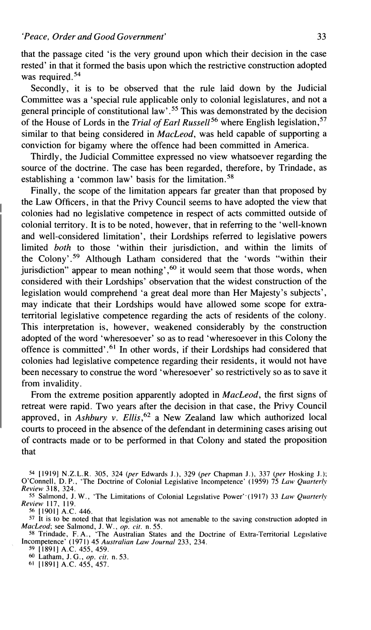that the passage cited 'is the very ground upon which their decision in the case rested' in that it formed the basis upon which the restrictive construction adopted was required. $54$ 

Secondly, it is to be observed that the rule laid down by the Judicial Committee was a 'special rule applicable only to colonial legislatures, and not a general principle of constitutional law' **.55** This was demonstrated by the decision of the House of Lords in the *Trial of Earl Russell*<sup>56</sup> where English legislation,<sup>57</sup> similar to that being considered in *MacLeod,* was held capable of supporting a conviction for bigamy where the offence had been committed in America.

Thirdly, the Judicial Committee expressed no view whatsoever regarding the source of the doctrine. The case has been regarded, therefore, by Trindade, as establishing a 'common law' basis for the limitation.<sup>58</sup>

Finally, the scope of the limitation appears far greater than that proposed by the Law Officers, in that the Privy Council seems to have adopted the view that colonies had no legislative competence in respect of acts committed outside of colonial territory. It is to be noted, however, that in referring to the 'well-known and well-considered limitation', their Lordships referred to legislative powers limited *both* to those 'within their jurisdiction, and within the limits of the Colony'.59 Although Latham considered that the 'words "within their jurisdiction" appear to mean nothing',<sup>60</sup> it would seem that those words, when considered with their Lordships' observation that the widest construction of the legislation would comprehend 'a great deal more than Her Majesty's subjects', may indicate that their Lordships would have allowed some scope for extraterritorial legislative competence regarding the acts of residents of the colony. This interpretation is, however, weakened considerably by the construction adopted of the word 'wheresoever' so as to read 'wheresoever in this Colony the offence is committed'.<sup>61</sup> In other words, if their Lordships had considered that colonies had legislative competence regarding their residents, it would not have been necessary to construe the word 'wheresoever' so restrictively so as to save it from invalidity.

From the extreme position apparently adopted in *MacLeod,* the first signs of retreat were rapid. Two years after the decision in that case, the Privy Council approved, in *Ashbury v. Ellis*,<sup>62</sup> a New Zealand law which authorized local courts to proceed in the absence of the defendant in determining cases arising out of contracts made or to be performed in that Colony and stated the proposition that

**<sup>54</sup>[I9191 N.Z.L.R. 305, 324** *(per* **Edwards J.), 329** *(per* **Chapman J.), 337** *(per* **Hosking J.); O'Connell, D. P., 'The Doctrine of Colonial Legislative Incompetence' (1959) 75** *Law Qucrrterly Review* **3 18, 324.** 

<sup>55</sup> Salmond, J. W., 'The Limitations of Colonial Legislative Power'<sup>.</sup>(1917) 33 *Law Quarterly Review* **117, 119.**  *56* **[1901] A.C.** *446.* 

**<sup>57</sup>It is to be noted that that legislation was not amenable to the saving construction adopted in**  *MacLeod;* **see Salmond, J. W.,** *op. cit.* **n. 55.** 

<sup>58</sup> Trindade, F. A., 'The Australian States and the Doctrine of Extra-Territorial Legislative **Incompetence' (197 1) 45** *Australian Law Journal* **233, 234.** 

**<sup>59</sup>[I8911 A.C. 455, 459.** 

**Latham, J. G.,** *op. cir.* **n. 53.** 

**<sup>61</sup> [I8911 A.C. 455, 457.**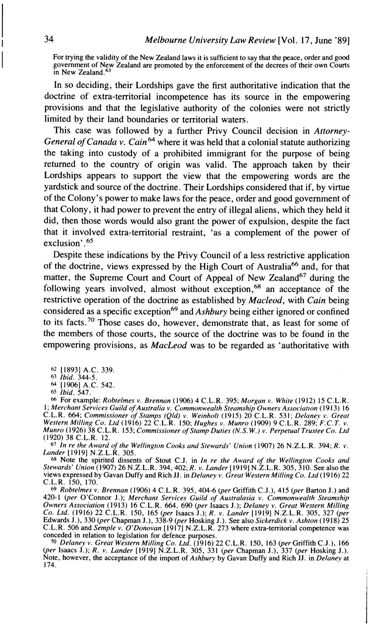For trying the validity of the New Zealand laws it is sufficient to say that the peace, order and good government of New Zealand are promoted by the enforcement of the decrees of their own Courts in New Zealand.<sup>6</sup>

In so deciding, their Lordships gave the first authoritative indication that the doctrine of extra-territorial incompetence has its source in the empowering provisions and that the legislative authority of the colonies were not strictly limited by their land boundaries or territorial waters.

This case was followed by a further Privy Council decision in *Attorney-General of Canada v. Cain*<sup>64</sup> where it was held that a colonial statute authorizing the taking into custody of a prohibited immigrant for the purpose of being returned to the country of origin was valid. The approach taken by their Lordships appears to support the view that the empowering words are the yardstick and source of the doctrine. Their Lordships considered that if, by virtue of the Colony's power to make laws for the peace, order and good government of that Colony, it had power to prevent the entry of illegal aliens, which they held it did, then those words would also grant the power of expulsion, despite the fact that it involved extra-territorial restraint, 'as a complement of the power of exclusion' .<sup>65</sup>

Despite these indications by the Privy Council of a less restrictive application of the doctrine, views expressed by the High Court of Australia<sup>66</sup> and, for that matter, the Supreme Court and Court of Appeal of New Zealand<sup>67</sup> during the following years involved, almost without exception,  $68$  an acceptance of the restrictive operation of the doctrine as established by *Macleod,* with *Cain* being considered as a specific exception<sup>69</sup> and *Ashbury* being either ignored or confined to its facts.70 Those cases do, however, demonstrate that, as least for some of the members of those courts, the source of the doctrine was to be found in the empowering provisions, as *MacLeod* was to be regarded as 'authoritative with

*h6* For example: *Robtelmes v. Brennan* (1906) 4 C.L.R. 395; *Morgan v. White* (1912) 15 C.L.R. *Learn Services Guild of Australia v. Commonwealth Steamship Owners Associatory 1013.* I.<br>1: Merchant Services Guild of Australia v. Commonwealth Steamship Owners Association (1913) 16<br>2. C.L.R. 664; Commissioner of Stamps *Munro* (1926) 38 C.L.R. 153; *Commissioner of Stamp Duties (N.S. W.) v. Perpetuul Trustee Co. Ltd*  (1920) 38 C.L.R. 12.

<sup>67</sup>*In re the Award of the Wellington Cooks and Stewurds' Union* (1907) 26 N.Z.L.R. 394; *R.* **v.** *Lander* 119191 N.Z.L.R. 305.

<sup>68</sup> Note the spirited dissents of Stout C.J. in *In re the Award of the Wellington Cooks and Stewards' Union* (1907) 26 N.Z.L.R. 394, 402; *R. v. Lander* [1919] N.Z.L.R. 305, 310. See also the views expressed by Gavan Duffy and Rich JJ. in *Delaney v. Great Western Milling Co. Ltd* (19 16) 22 C.L.R. 150, 170.

**<sup>69</sup>***Robrelmes v. Brennan* (1906) 4 C.L.R. 395,404-6 *(per* Griffith C.J.), 415 *(per* Barton J.) and 420-1 *(per* O'Connor J.); *Merchant Services Guild of Australasia v. Commonwealth Steamship Owners Association* (1913) 16 C.L.R. 664, 690 *(per* lsaacs J.); *Delaney v. Great Western Milling*  Co. Ltd. (1916) 22 C.L.R. 150, 165 (per Isaacs J.); R. v. Lander [1919] N.Z.L.R. 305, 327 (per Edwards J.), 330 (per Chapman J.), 338-9 (per Hosking J.). See also Sickerdick v. Ashton (1918) 25 C.L.R. 506 and Semple v. O'D

<sup>70</sup> Delaney v. Great Western Milling Co. Ltd. (1916) 22 C.L.R. 150, 163 (per Griffith C.J.), 166<br>(per Isaacs J.); R. v. Lander [1919] N.Z.L.R. 305, 331 (per Chapman J.), 337 (per Hosking J.).<br>Note, however, the acceptance 174.

**<sup>62</sup>**118931 A.C. 339. 63 *Ibid.* 344-5.

**<sup>64</sup>** [I9061 A.C. 542.

**<sup>65</sup>***Ibid.* 547.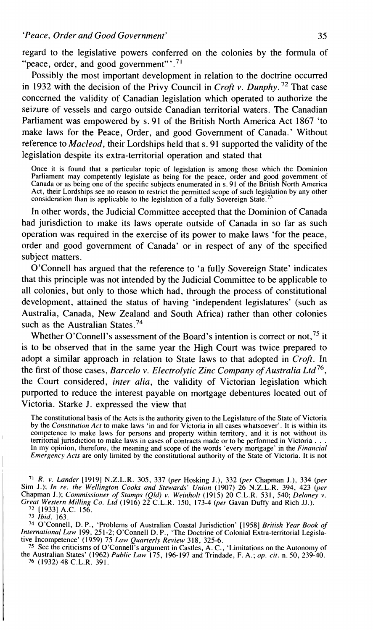regard to the legislative powers conferred on the colonies by the formula of "peace, order, and good government"'. $71$ 

Possibly the most important development in relation to the doctrine occurred in 1932 with the decision of the Privy Council in *Croft v. Dunphy.* 72 That case concerned the validity of Canadian legislation which operated to authorize the seizure of vessels and cargo outside Canadian territorial waters. The Canadian Parliament was empowered by s. 91 of the British North America Act 1867 'to make laws for the Peace, Order, and good Government of Canada.' Without reference to *Macleod,* their Lordships held that s. 91 supported the validity of the legislation despite its extra-territorial operation and stated that

Once it is found that a particular topic of legislation is among those which the Dominion Parliament may competently legislate as being for the peace, order and good government of Canada or as being one of the specific subjects enumerated in s. 91 of the British North America Act, their Lordships see no reason to restrict the permitted scope of such legislation by any other consideration than is applicable to the legislation of a fully Sovereign State.

In other words, the Judicial Committee accepted that the Dominion of Canada had jurisdiction to make its laws operate outside of Canada in so far as such operation was required in the exercise of its power to make laws 'for the peace, order and good government of Canada' or in respect of any of the specified subject matters.

O'Connell has argued that the reference to 'a fully Sovereign State' indicates that this principle was not intended by the Judicial Committee to be applicable to - all colonies, but only to those which had, through the process of constitutional development, attained the status of having 'independent legislatures' (such as Australia, Canada, New Zealand and South Africa) rather than other colonies such as the Australian States.<sup>74</sup>

Whether O'Connell's assessment of the Board's intention is correct or not,  $75$  it is to be observed that in the same year the High Court was twice prepared to adopt a similar approach in relation to State laws to that adopted in *Crofi.* In the first of those cases, *Barcelo v. Electrolytic Zinc Company of Australia Ltd*<sup>76</sup>, the Court considered, *inter alia,* the validity of Victorian legislation which purported to reduce the interest payable on mortgage debentures located out of Victoria. Starke J. expressed the view that

The constitutional basis of the Acts is the authority given to the Legislature of the State of Victoria by the *Constitution Act* to make laws 'in and for Victoria in all cases whatsoever'. It is within its competence to make laws for persons and property within territory, and it is not without its territorial jurisdiction to make laws in cases of contracts made or to be performed in Victoria... territorial jurisdiction to make laws in cases of contracts made or to be performed in Victoria...<br>In my opinion, therefore, the meaning and scope of the words 'every mortgage' in the Financial<br>Emergency Acts are only limi

<sup>71</sup>*R. v. Lander* [I9191 N.Z.L.R. 305, 337 *(per* Hosking J.), 332 *(per* Chapman J.), 334 *(per*  Sim J.); *In re. the Wellington Cooks and Stewards' Union* (1907) 26 N.Z.L.R. 394, 423 (p*er*<br>Chapman J.); *Commissioner of Stamps (Qld) v. Weinholt* (1915) 20 C.L.R. 531, 540; *Delaney v.*<br>*Great Western Milling Co. Ltd*

**<sup>72</sup>**119331 A.C. 156. 73 *Ibid.* 163.

<sup>74</sup> O'Connell, D. P., 'Problems of Australian Coastal Jurisdiction' [1958] *British Year Book of International Law* 199, 251-2; O'Connell D. P., 'The Doctrine of Colonial Extra-territorial Legislative Incompetence' (1959)

**<sup>75</sup>**See the criticisms of O'Connell's argument in Castles, A. C., 'Limitations on the Autonomy of the Australian States' (1962) *Public* Law 175, 196-197 and Trindade, F. A,; *op. cit.* n. 50, 239-40. 76 (1932) 48 C.L.R. 391.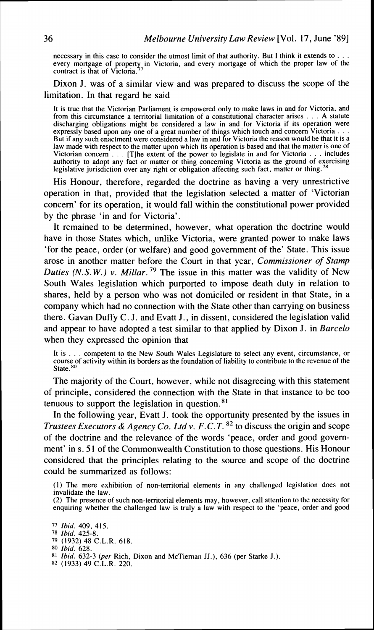necessary in this case to consider the utmost limit of that authority. But **1** think it extends to . . . every mortgage of property in Victoria, and every mortgage of which the proper law of the contract is that of Victoria.<sup>77</sup>

Dixon J. was of a similar view and was prepared to discuss the scope of the limitation. In that regard he said

It is true that the Victorian Parliament is empowered only to make laws in and for Victoria, and from this circumstance a territorial limitation of a constitutional character arises . . . A statute discharging obligations might be considered a law in and for Victoria if its operation were expressly based upon any one of a great number of things which touch and concern Victoria  $\ldots$ But if any such enactment were considered a law in and for Victoria the reason would be that it is a law made with respect to the matter upon which its operation is based and that the matter is one of Victorian concern . . . [Tlhe extent of the power to legislate in and for Victoria . . . includes authority to adopt any fact or matter or thing concerning Victoria as the ground of exercising legislative jurisdiction over any right or obligation affecting such fact, matter or thing.

His Honour, therefore, regarded the doctrine as having a very unrestrictive operation in that, provided that the legislation selected a matter of 'Victorian concern' for its operation, it would fall within the constitutional power provided by the phrase 'in and for Victoria'.

It remained to be determined, however, what operation the doctrine would have in those States which, unlike Victoria, were granted power to make laws 'for the peace, order (or welfare) and good government of the' State. This issue arose in another matter before the Court in that year, *Commissioner of Stamp Duties (N.S.W.) v. Millar.*<sup>79</sup> The issue in this matter was the validity of New South Wales legislation which purported to impose death duty in relation to shares, held by a person who was not domiciled or resident in that State, in a company which had no connection with the State other than carrying on business there. Gavan Duffy C. J. and Evatt J., in dissent, considered the legislation valid and appear to have adopted a test similar to that applied by Dixon J. in *Barcelo*  when they expressed the opinion that

It is . . . competent to the New South Wales Legislature to select any event, circumstance, or course of activity within its borders as the foundation of liability to contribute to the revenue of the State.<sup>80</sup>

The majority of the Court, however, while not disagreeing with this statement of principle, considered the connection with the State in that instance to be too tenuous to support the legislation in question. $81$ 

In the following year, Evatt J. took the opportunity presented by the issues in *Trustees Executors* & *Agency Co. Ltd v. F.C. T.* **82** to discuss the origin and scope of the doctrine and the relevance of the words 'peace, order and good government' in s. **5** 1 of the Commonwealth Constitution to those questions. His Honour considered that the principles relating to the source and scope of the doctrine could be summarized as follows:

(I) The mere exhibition of non-territorial elements in any challenged legislation does not invalidate the law.

(2) The presence of such non-territorial elements may, however, call attention to the necessity for enquiring whether the challenged law is truly a law with respect to the 'peace, order and good

**79** (1932) 48 C.L.R. 618.

- **81** Ibid. 632-3 **@er** Rich, Dixon and McTiernan JJ.), 636 (per Starke J.)
- **82** (1933) 49 **C.L.R.** 220.

<sup>77</sup> Ibid. 409, 415.

**<sup>78</sup>** lbid. 425-8.

**<sup>80</sup>**Ibid. 628.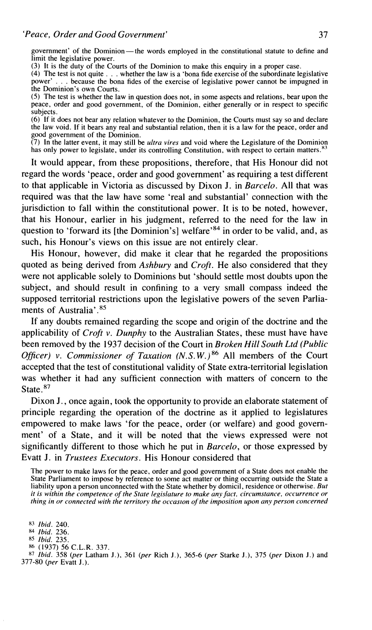government' of the Dominion-the words employed in the constitutional statute to define and limit the legislative power.

(3) It is the duty of the Courts of the Dominion to make this enquiry in a proper case.

**(4)** The test is not quite . . . whether the law is a 'bona fide exercise of the subordinate legislative power' . . . because the bona fides of the exercise of legislative power cannot be impugned in the Dominion's own Courts.

(5) The test is whether the law in question does not, in some aspects and relations, bear upon the peace, order and good government, of the Dominion, either generally or in respect to specific subjects.

(6) If it does not bear any relation whatever to the Dominion, the Courts must say so and declare the law void. If it bears any real and substantial relation, then it is a law for the peace, order and good government of the Dominion.

(7) In the latter event, it may still be *ultra vires* and void where the Legislature of the Dominion has only power to legislate, under its controlling Constitution, with respect to certain matters.<sup>87</sup>

It would appear, from these propositions, therefore, that His Honour did not regard the words 'peace, order and good government' as requiring a test different to that applicable in Victoria as discussed by Dixon J. in *Barcelo.* All that was required was that the law have some 'real and substantial' connection with the jurisdiction to fall within the constitutional power. It is to be noted, however, that his Honour, earlier in his judgment, referred to the need for the law in question to 'forward its [the Dominion's] welfare<sup>84</sup> in order to be valid, and, as such, his Honour's views on this issue are not entirely clear.

His Honour, however, did make it clear that he regarded the propositions quoted as being derived from *Ashbury* and *Croft.* He also considered that they were not applicable solely to Dominions but 'should settle most doubts upon the subject, and should result in confining to a very small compass indeed the supposed territorial restrictions upon the legislative powers of the seven Parliaments of Australia'.<sup>85</sup>

If any doubts remained regarding the scope and origin of the doctrine and the applicability of *Croft* v. *Dunphy* to the Australian States, these must have have been removed by the 1937 decision of the Court in *Broken Hill South Ltd (Public Officer) v. Commissioner of Taxation* (N.S.W.)<sup>86</sup> All members of the Court accepted that the test of constitutional validity of State extra-territorial legislation was whether it had any sufficient connection with matters of concern to the State.<sup>87</sup>

Dixon J., once again, took the opportunity to provide an elaborate statement of principle regarding the operation of the doctrine as it applied to legislatures empowered to make laws 'for the peace, order (or welfare) and good government' of a State, and it will be noted that the views expressed were not significantly different to those which he put in *Barcelo,* or those expressed by Evatt J. in *Trustees Executors*. His Honour considered that

The power to make laws for the peace, order and good government of a State does not enable the State a state a<br>State Parliament to impose by reference to some act matter or thing occurring outside the State a liability upon a person unconnected with the State whether by domicil, residence or otherwise. *But it is within the competence of the State legislature to make any fact, circumstance, occurrence or thing in or connected with the territory the occuslon* of *the imposition upon any person concerned* 

**83** *Ibid.* 240.

<sup>84</sup>*Ibid.* 236.

- **85** *Ibid.* 235.
- **86** (1937) 56 C.L.R. 337.

**<sup>87</sup>***Ibid.* 358 *(per* Latham J.), 361 *(per* Rich J.), 365-6 *(per* Starke J.), 375 *(per* Dixon J.) and 377-80 *(per* Evatt J.).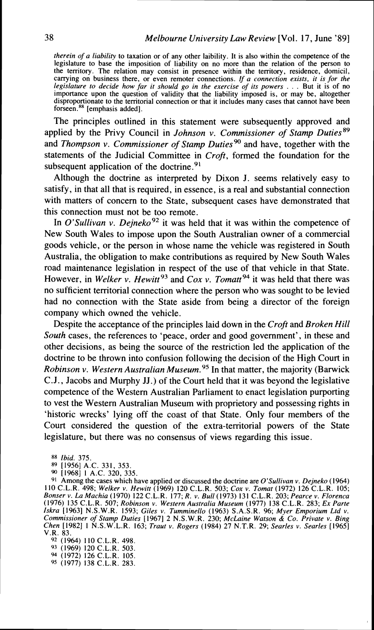*therein of a liability* to taxation or of any other laibility. It is also within the competence of the legislature to base the imposition of liability on no more than the relation of the person to the territory. The relation may consist in presence within the territory, residence, domicil, canying on business there, or even remoter connections. If a *connection exists, it is for the legislature to decide how far it should go in the exercise of its powers* . . . But it is of no importance upon the question of validity that the liability imposed is, or may be, altogether disproportionate to the territorial connection or that it includes many cases that cannot have been forseen.<sup>88</sup> [emphasis added].

The principles outlined in this statement were subsequently approved and applied by the Privy Council in *Johnson v. Commissioner of Stamp Duties*<sup>89</sup> and *Thompson v. Commissioner of Stamp Duties*<sup>90</sup> and have, together with the statements of the Judicial Committee in *Croft,* formed the foundation for the subsequent application of the doctrine. $91$ 

Although the doctrine as interpreted by Dixon J. seems relatively easy to satisfy, in that all that is required, in essence, is a real and substantial connection with matters of concern to the State, subsequent cases have demonstrated that this connection must not be too remote.

In *O'Sullivan v. Dejneko*<sup>92</sup> it was held that it was within the competence of New South Wales to impose upon the South Australian owner of a commercial goods vehicle, or the person in whose name the vehicle was registered in South Australia, the obligation to make contributions as required by New South Wales road maintenance legislation in respect of the use of that vehicle in that State. However, in *Welker v. Hewitt*<sup>93</sup> and *Cox v. Tomatt*<sup>94</sup> it was held that there was no sufficient territorial connection where the person who was sought to be levied had no connection with the State aside from being a director of the foreign company which owned the vehicle.

Despite the acceptance of the principles laid down in the *Croft* and *Broken Hill South* cases, the references to 'peace, order and good government', in these and other decisions, as being the source of the restriction led the application of the doctrine to be thrown into confusion following the decision of the High Court in *Robinson v. Western Australian Museum.*<sup>95</sup> In that matter, the majority (Barwick C.J., Jacobs and Murphy JJ.) of the Court held that it was beyond the legislative competence of the Western Australian Parliament to enact legislation purporting to vest the Western Australian Museum with proprietory and possessing rights in 'historic wrecks' lying off the coast of that State. Only four members of the Court considered the question of the extra-territorial powers of the State legislature, but there was no consensus of views regarding this issue.

**88** *Ibid.* 375

89 [1956] A.C. 331, 353.<br><sup>90</sup> [1968] 1 A.C. 320, 335.

<sup>91</sup> Among the cases which have applied or discussed the doctrine are O'Sullivan v. Dejneko (1964)<br>110 C.L.R. 498; Welker v. Hewitt (1969) 120 C.L.R. S03; Cox v. Tomat (1972) 126 C.L.R. 105;<br>Bonser v. La Machia (1970) 122 Iskra (1963) N.S.W.R. 1593; Giles v. Tumminello (1963) S.A.S.R. 96; Myer Emporium Ltd v.<br>Commissioner of Stamp Duties (1967) 2 N.S.W.R. 230; McLaine Watson & Co. Private v. Bing *Chen* [ 19821 1 N.S.W.L.R. 163; *Traut* v. *Rogers* (1984) 27 N.T.R. 29; *Searles v. Searles* [I9651

*V.R. 83.*<br><sup>92</sup> (1964) 110 C.L.R. 498.

93 (1969) 120 C.L.R. 503.

**94** (1972) 126 C.L.R. 105. 95 (1977) 138 C.L.R. 283.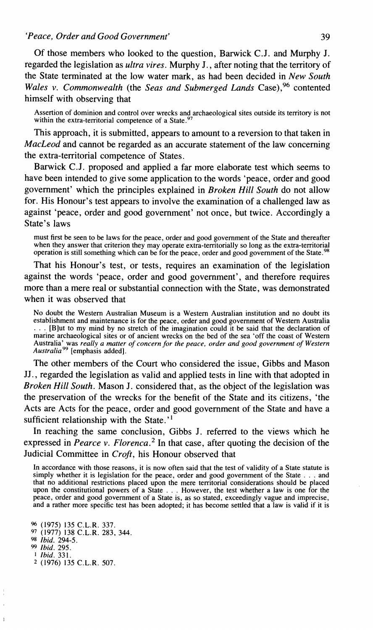*'Peace, Order and Good Government'* **39** 

Of those members who looked to the question, Banvick C.J. and Murphy J. regarded the legislation as *ultra vires.* Murphy J., after noting that the territory of the State terminated at the low water mark, as had been decided in *New South Wales v. Commonwealth* (the *Seas and Submerged Lands* Case),<sup>96</sup> contented himself with observing that

Assertion of dominion and control over wrecks and archaeological sites outside its territory is not within the extra-territorial competence of a State. $97$ 

This approach, it is submitted, appears to amount to a reversion to that taken in *MacLeod* and cannot be regarded as an accurate statement of the law concerning the extra-territorial competence of States.

Barwick C.J. proposed and applied a far more elaborate test which seems to have been intended to give some application to the words 'peace, order and good government' which the principles explained in *Broken Hill South* do not allow for. His Honour's test appears to involve the examination of a challenged law as against 'peace, order and good government' not once, but twice. Accordingly a State's laws

must first be seen to be laws for the peace, order and good government of the State and thereafter when they answer that criterion they may operate extra-territorially so long as the extra-territorial operation is still something which can be for the peace, order and good government of the State.<sup>98</sup>

That his Honour's test, or tests, requires an examination of the legislation against the words 'peace, order and good government', and therefore requires more than a mere real or substantial connection with the State, was demonstrated when it was observed that

No doubt the Western Australian Museum is a Western Australian institution and no doubt its establishment and maintenance is for the peace, order and good government of Western Australia ... [B]ut to my mind by no stretch of the imagination could it be said that the declaration of marine archaeological sites or of ancient wrecks on the bed of the sea 'off the coast of Western Australia' was *really a matter of concern for the peace, order and good government of Western*<br>A*ustralia<sup>99</sup> [emphasis added]*.

The other members of the Court who considered the issue, Gibbs and Mason JJ., regarded the legislation as valid and applied tests in line with that adopted in *Broken Hill South.* Mason J. considered that, as the object of the legislation was the preservation of the wrecks for the benefit of the State and its citizens, 'the Acts are Acts for the peace, order and good government of the State and have a sufficient relationship with the State.'<sup>1</sup>

In reaching the same conclusion, Gibbs J. referred to the views which he expressed in *Pearce v. Florenca.*<sup>2</sup> In that case, after quoting the decision of the Judicial Committee in *Croft,* his Honour observed that

In accordance with those reasons, it is now often said that the test of validity of a State statute is simply whether it is legislation for the peace, order and good government of the State . . . and that no additional restrictions placed upon the mere territorial considerations should **be** placed upon the constitutional powers of a State . . . However, the test whether a law is one for the peace, order and good government of a State is, as so stated, exceedingly vague and imprecise, and a rather more specific test has been adopted; it has become settled that a law is valid if it is

 $\ddot{ }$ 

<sup>%</sup> (1975) 135 C.L.R. 337. 97 (1977) 138 C.L.R. 283, 344 **98** *Ibid.* 294-5. **99** *Ibid.* 295. **<sup>1</sup>***Ibid.* 331. **2** (1976) 135 C.L.R. 507.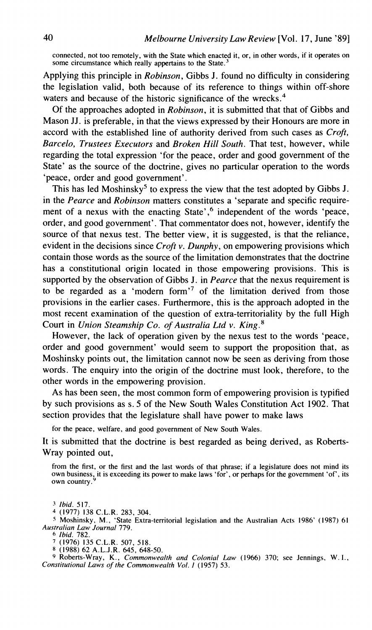**connected, not too remotely, with the State which enacted it, or, in other words, if it operates on some circumstance which really appertains to the State.3** 

Applying this principle in *Robinson,* Gibbs J. found no difficulty in considering the legislation valid, both because of its reference to things within off-shore waters and because of the historic significance of the wrecks.<sup>4</sup>

Of the approaches adopted in *Robinson,* it is submitted that that of Gibbs and Mason JJ. is preferable, in that the views expressed by their Honours are more in accord with the established line of authority derived from such cases as *Croft, Barcelo, Trustees Executors* and *Broken Hill South.* That test, however, while regarding the total expression 'for the peace, order and good government of the State' as the source of the doctrine, gives no particular operation to the words 'peace, order and good government'.

This has led Moshinsky<sup>5</sup> to express the view that the test adopted by Gibbs J. in the *Pearce* and *Robinson* matters constitutes a 'separate and specific requirement of a nexus with the enacting State',<sup>6</sup> independent of the words 'peace, order, and good government'. That commentator does not, however, identify the source of that nexus test. The better view, it is suggested, is that the reliance, evident in the decisions since *Croft* v. *Dunphy,* on empowering provisions which contain those words as the source of the limitation demonstrates that the doctrine has a constitutional origin located in those empowering provisions. This is supported by the observation of Gibbs J. in *Pearce* that the nexus requirement is to be regarded as a 'modern form'<sup>7</sup> of the limitation derived from those provisions in the earlier cases. Furthermore, this is the approach adopted in the most recent examination of the question of extra-territoriality by the full High Court in *Union Steamship Co. of Australia Ltd v. King.*<sup>8</sup>

However, the lack of operation given by the nexus test to the words 'peace, order and good government' would seem to support the proposition that, as Moshinsky points out, the limitation cannot now be seen as deriving from those words. The enquiry into the origin of the doctrine must look, therefore, to the other words in the empowering provision.

As has been seen, the most common form of empowering provision is typified by such provisions as s. 5 of the New South Wales Constitution Act 1902. That section provides that the legislature shall have power to make laws

**for the peace, welfare, and good government of New South Wales.** 

It is submitted that the doctrine is best regarded as being derived, as Roberts-Wray pointed out,

**from the first, or the first and the last words of that phrase; if a legislature does not mind its own business, it is exceeding its power to make laws 'for', or perhaps for the government 'of', its own country** .'

**<sup>3</sup>***Ibid.* **517. 4 (1977) 138 C.L.R. 283, 304.** 

**<sup>5</sup>Moshinsky, M., 'State Extra-territorial legislation and the Australian Acts 1986'** ( **1987) 6 <sup>1</sup>** *Au.srrcrliun Law Journul* **779.** 

**<sup>6</sup>Ibid. 782. 7 (1976) 135 C.L.R. 507, 518. 8 (1988) 62 A.L.J.R. 645, 648-50.** 

**9 Roberts-Wray, K.,** *Commonwealrh und Coloniul Law* **(1966) 370; see Jennings, W. I.,**  *Constitutional Laws of the Commonweulth Vol. 1* **(1957) 53.**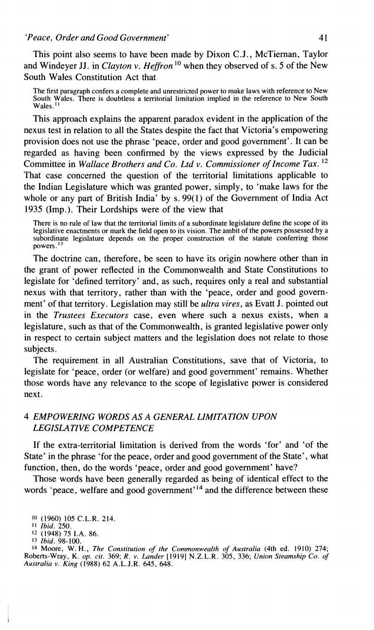This point also seems to have been made by Dixon C.J., McTiernan, Taylor and Windeyer JJ, in *Clayton v. Heffron*<sup>10</sup> when they observed of s. 5 of the New South Wales Constitution Act that

The first paragraph confers a complete and unrestricted power to make laws with reference to New South Wales. There is doubtless a territorial limitation implied in the reference to New South  $W$ ales.<sup>11</sup>

This approach explains the apparent paradox evident in the application of the nexus test in relation to all the States despite the fact that Victoria's empowering provision does not use the phrase 'peace, order and good government'. It can be regarded as having been confirmed by the views expressed by the Judicial Committee in *Wallace Brothers and Co. Ltd v. Commissioner of Income Tax.*<sup>12</sup> That case concerned the question of the territorial limitations applicable to the Indian Legislature which was granted power, simply, to 'make laws for the whole or any part of British India' by s. 99(1) of the Government of India Act 1935 (Imp.). Their Lordships were of the view that

There is no rule of law that the territorial limits of a subordinate legislature define the scope of its legislative enactments or mark the field open to its vision. The ambit of the powers possessed by a subordinate legislature depends on the proper construction of the statute conferring those powers.<sup>13</sup>

The doctrine can, therefore, be seen to have its origin nowhere other than in the grant of power reflected in the Commonwealth and State Constitutions to legislate for 'defined territory' and, as such, requires only a real and substantial nexus with that territory, rather than with the 'peace, order and good government' of that territory. Legislation may still be *ultra vires,* as Evatt J. pointed out in the *Trustees Executors* case, even where such a nexus exists, when a legislature, such as that of the Commonwealth, is granted legislative power only in respect to certain subject matters and the legislation does not relate to those subjects.

The requirement in all Australian Constitutions, save that of Victoria, to legislate for 'peace, order (or welfare) and good government' remains. Whether those words have any relevance to the scope of legislative power is considered next.

# *4 EMPOWERING WORDS AS A GENERAL LIMITATION UPON LEGISLATIVE COMPETENCE*

If the extra-territorial limitation is derived from the words 'for' and 'of the State' in the phrase 'for the peace, order and good government of the State', what function, then, do the words 'peace, order and good government' have?

Those words have been generally regarded as being of identical effect to the words 'peace, welfare and good government'<sup>14</sup> and the difference between these

**14** Moore, W. H., *The Constitution of the Commonwealth of Australia* (4th ed. 1910) 274; Roberts-Wray, K. *op. cit.* 369; *R.* v. *Lander* [I9191 N.Z.L.R. 305, 336; *Union Steamship Co. of Australia* v. *King* (1988) 62 A.L.J.R. 645, 648.

<sup>10</sup> (1960) 105 C.L.R. 214.

I I *Ibid.* 250.

**<sup>12</sup>**(1948) 75 I.A. 86. 13 *Ibid.* 98-100.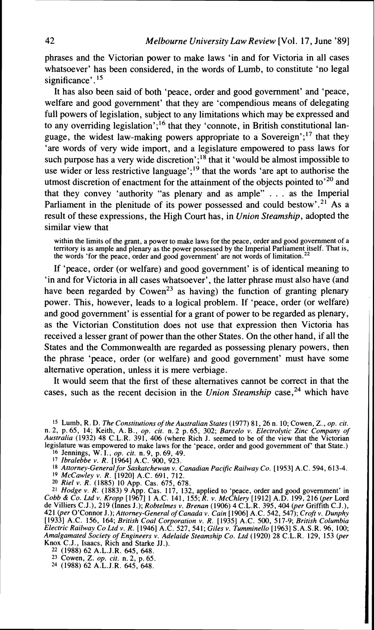phrases and the Victorian power to make laws 'in and for Victoria in all cases whatsoever' has been considered, in the words of Lumb, to constitute 'no legal significance'.<sup>15</sup>

It has also been said of both 'peace, order and good government' and 'peace, welfare and good government' that they are 'compendious means of delegating full powers of legislation, subject to any limitations which may be expressed and to any overriding legislation';<sup>16</sup> that they 'connote, in British constitutional language, the widest law-making powers appropriate to a Sovereign';<sup>17</sup> that they 'are words of very wide import, and a legislature empowered to pass laws for such purpose has a very wide discretion';<sup>18</sup> that it 'would be almost impossible to use wider or less restrictive language';<sup>19</sup> that the words 'are apt to authorise the utmost discretion of enactment for the attainment of the objects pointed to<sup>'20</sup> and that they convey 'authority "as plenary and as ample" . . . as the Imperial Parliament in the plenitude of its power possessed and could bestow'.<sup>21</sup> As a result of these expressions, the High Court has, in *Union Steamship,* adopted the similar view that

within the limits of the grant, a power to make laws for the peace, order and good government of a territory is as ample and plenary as the power possessed by the Imperial Parliament itself. That is, the words 'for the peace, order and good government' are not words of limitation.<sup>22</sup>

If 'peace, order (or welfare) and good government' is of identical meaning to 'in and for Victoria in all cases whatsoever', the latter phrase must also have (and have been regarded by Cowen<sup>23</sup> as having) the function of granting plenary power. This, however, leads to a logical problem. If 'peace, order (or welfare) and good government' is essential for a grant of power to be regarded as plenary, as the Victorian Constitution does not use that expression then Victoria has received a lesser grant of power than the other States. On the other hand, if all the States and the Commonwealth are regarded as possessing plenary powers, then the phrase 'peace, order (or welfare) and good government' must have some alternative operation, unless it is mere verbiage.

It would seem that the first of these alternatives cannot be correct in that the cases, such as the recent decision in the *Union Steamship* case,<sup>24</sup> which have

**'5** Lumb, R. D. *The Constitutions of the Australian States* (1977) 81,26 n. 10; Cowen, Z., *op. cit.*  n. 2, p. 65, 14; Keith, A. B., *op. cit.* n. 2 p. 65, 302; *Barcelo* v. *Electrolytic Zinc Company of Australia* (1932) 48 C.L.R. 391, 406 (where Rich J. seemed to be of the view that the Victorian legislature was empowered to make laws for the 'peace, order and good government of' that State.)

**16** Jennings, W. I., *op. cit.* n. 9, p. 69, 49. **<sup>17</sup>***Ibralebbe* v. *R.* 119641 A.C. 900. 923.

<sup>18</sup> Attorney-General for Saskatchewan v. Canadian Pacific Railway Co. [1953] A.C. 594, 613-4.

**19** *McCawley* v. *R.* [I9201 A.C. 691, 712. **20** *Riel* v. *R.* (1885) 10 App. Cas. 675, 678.

<sup>21</sup> *Hodge v. R.* (1883) 9 App. Cas. 117, 132, applied to 'peace, order and good government' in Cobb & Co. Ltd v. Kropp [1967] 1 A.C. 141, 155; R. v. McChlery [1912] A.D. 199, 216 (per Lord de Villiers C.J.), 219 (Innes 421 (per O'Connor J.); Attorney-General of Canada v. Cain [1906] A.C. 542, 547); Croft v. Dunphy<br>[1933] A.C. 156, 164; British Coal Corporation v. R. [1935] A.C. 500, 517-9; British Columbia<br>Electric Railway Co Ltd v. R. [ *Amalgamated Society of Engineers* **v.** *Adelaide Steamship Co. Ltd* (1920) 28 C.L. R. 129, 153 *@er*  Knox C.J., Isaacs, Rich and Starke JJ.).

- 
- **22** (1988) 62 A.L.J.R. 645, 648. **23** Cowen, 2. *op. cit.* n. *2,* p. 65. **24** (1988) 62 A.L.J.R. 645, 648.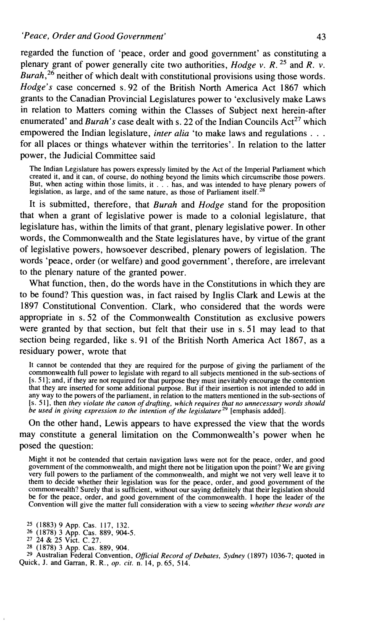regarded the function of 'peace, order and good government' as constituting a plenary grant of power generally cite two authorities, *Hodge v.* R. **25** and R. *v. Burah*,<sup>26</sup> neither of which dealt with constitutional provisions using those words. *Hodge's* case concerned s. 92 of the British North America Act 1867 which grants to the Canadian Provincial Legislatures power to 'exclusively make Laws in relation to Matters coming within the Classes of Subject next herein-after enumerated' and *Burah's* case dealt with s. 22 of the Indian Councils  $Act^{27}$  which empowered the Indian legislature, *inter alia* 'to make laws and regulations . . . for all places or things whatever within the territories'. In relation to the latter power, the Judicial Committee said

The Indian Legislature has powers expressly limited by the Act of the Imperial Parliament which created it, and it can, of course, do nothing beyond the limits which circumscribe those powers. But, when acting within those limits, it  $\ldots$  has, and was intended to have plenary powers of egislation, as large, and of the same nature, as those of Parliament itself.<sup>28</sup>

It is submitted, therefore, that *Burah* and *Hodge* stand for the proposition that when a grant of legislative power is made to a colonial legislature, that legislature has, within the limits of that grant, plenary legislative power. In other words, the Commonwealth and the State legislatures have, by virtue of the grant of legislative powers, howsoever described, plenary powers of legislation. The words 'peace, order (or welfare) and good government', therefore, are irrelevant to the plenary nature of the granted power.

What function, then, do the words have in the Constitutions in which they are to be found? This question was, in fact raised by Inglis Clark and Lewis at the 1897 Constitutional Convention. Clark, who considered that the words were appropriate in s. 52 of the Commonwealth Constitution as exclusive powers were granted by that section, but felt that their use in s. 51 may lead to that section being regarded, like s. 91 of the British North America Act 1867, as a residuary power, wrote that

It cannot be contended that they are required for the purpose of giving the parliament of the commonwealth full power to legislate with regard to all subjects mentioned in the sub-sections of [s. 5 I]; and, if they are not required for that purpose they must inevitably encourage the contention hat they are inserted for some additional purpose. But if their insertion is not intended to add in any way to the powers of the parliament, in relation to the matters mentioned in the sub-sections of [s. 511, then *they violate the canon of drafting, which requires that no unnecessary words should be used in giving expression to the intention of the legislaturez9* [emphasis added].

On the other hand, Lewis appears to have expressed the view that the words may constitute a general limitation on the Commonwealth's power when he posed the question:

Might it not be contended that certain navigation laws were not for the peace, order, and good government of the commonwealth, and might there not be litigation upon the point? We are giving very full powers to the parliament of the commonwealth, and might we not very well leave it to them to decide whether their legislation was for the peace, order, and good government of the commonwealth? Surely that is sufficient, without our saying definitely that their legislation should be for the peace, order, and good government of the commonwealth. I hope the leader of the Convention will give the matter full consideration with a view to seeing *whether these words are* 

<sup>29</sup> Australian Federal Convention, *Official Record of Debates, Sydney* (1897) 1036-7; quoted in Quick, **J.** and Garran, R. R., *op. cit.* n. 14, p. 65, 514.

**<sup>25</sup>** (1883) 9 App. Cas. 117, 132. **26** (1878) 3 App. Cas. 889, 904-5. **27** 24 & 25 Vict. C. 27.

**<sup>28</sup>** (1878) 3 App. Cas. 889, 904.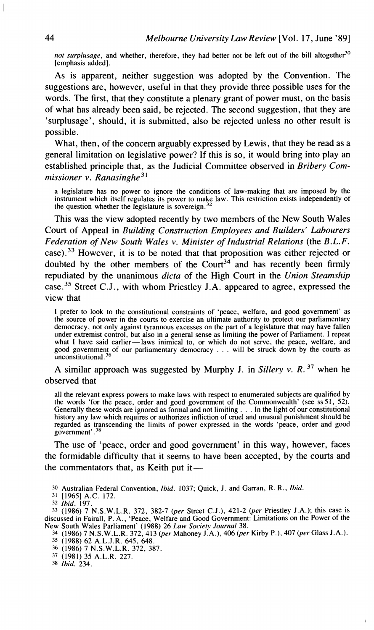not surplusage, and whether, therefore, they had better not be left out of the bill altogether<sup>30</sup> [emphasis added].

As is apparent, neither suggestion was adopted by the Convention. The suggestions are, however, useful in that they provide three possible uses for the words. The first, that they constitute a plenary grant of power must, on the basis of what has already been said, be rejected. The second suggestion, that they are 'surplusage', should, it is submitted, also be rejected unless no other result is possible.

What, then, of the concern arguably expressed by Lewis, that they be read as a general limitation on legislative power? If this is so, it would bring into play an established principle that, as the Judicial Committee observed in *Bribery Commissioner v. Ranasinghe* 31

a legislature has no power to ignore the conditions of law-making that are imposed by the instrument which itself regulates its power to make law. This restriction exists independently of the question whether the legislature is sovereign. $<sup>3</sup>$ </sup>

This was the view adopted recently by two members of the New South Wales Court of Appeal in *Building Construction Employees and Builders' Labourers Federation of New South Wales v. Minister of Industrial Relations* (the *B.L.F.*  case).<sup>33</sup> However, it is to be noted that that proposition was either rejected or doubted by the other members of the  $Count<sup>34</sup>$  and has recently been firmly repudiated by the unanimous *dicta* of the High Court in the *Union Steamship*  case.<sup>35</sup> Street C.J., with whom Priestley J.A. appeared to agree, expressed the view that

I prefer to look to the constitutional constraints of 'peace, welfare, and good government' as the source of power in the courts to exercise an ultimate authority to protect our parliamentary democracy, not only against tyrannous excesses on the part of a legislature that may have fallen under extremist control, but also in a general sense as limiting the power of Parliament. I repeat what I have said earlier—laws inimical to, or which do not serve, the peace, welfare, and good government of our parliamentary democracy . . . will be struck down by the courts as unconstitutional.<sup>36</sup>

A similar approach was suggested by Murphy J. in *Sillery v. R.* **37** when he observed that

all the relevant express powers to make laws with respect to enumerated subjects are qualified by the words 'for the peace, order and good government of the Commonwealth' (see ss51, 52). Generally these words are ignored as formal and not limiting . . . In the light of our constitutional history any law which requires or authorizes infliction of cruel and unusual punishment should be regarded as transcending the limits of power expressed in the words 'peace, order and good government'.<sup>38</sup>

The use of 'peace, order and good government' in this way, however, faces the formidable difficulty that it seems to have been accepted, by the courts and the commentators that, as Keith put it $-$ 

*30* Australian Federal Convention, *Ibid.* 1037; Quick, J. and Garran, R. R., *Ibid.* 

**32** *Ibid.* 197.

**33** (1986) 7 N.S.W.L.R. 372, 382-7 **(per** Street C.J.), 421-2 **(per** Priestley J.A.); this case is discussed in Fairall, P. A,, 'Peace, Welfare and Good Government: Limitations on the Power of the

New South Wales Parliament' (1988) 26 *Law Society Journal* 38.<br><sup>34</sup> (1986) 7 N.S.W.L.R. 372, 413 (per Mahoney J.A.), 406 (per Kirby P.), 407 (per Glass J.A.).<br><sup>35</sup> (1988) 62 A.L.J.R. 645, 648.

 $\overline{1}$ 

36 (1986) 7 N.S.W.L.R. 372, 387.

37 (1981) 35 A.L.R. 227. 38 *Ibid.* 234.

<sup>31 [</sup>I9651 A.C. 172.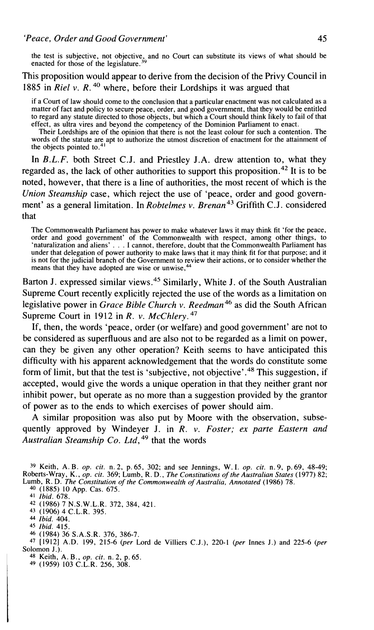the test is subjective, not objective, and no Court can substitute its views of what should be enacted for those of the legislature.<sup>39</sup>

This proposition would appear to derive from the decision of the Privy Council in 1885 in *Riel v. R.*<sup>40</sup> where, before their Lordships it was argued that

if a Court of law should come to the conclusion that a particular enactment was not calculated as a matter of fact and policy to secure peace, order, and good government, that they would be entitled to regard any statute directed to those objects, but which a Court should think likely to fail of that effect, as ultra vires and beyond the competency of the Dominion Parliament to enact.

Their Lordships are of the opinion that there is not the least colour for such a contention. The words of the statute are apt to authorize the utmost discretion of enactment for the attainment of the objects pointed to.<sup>41</sup>

In *B.L.F.* both Street C.J. and Priestley J.A. drew attention to, what they regarded as, the lack of other authorities to support this proposition.<sup> $42$ </sup> It is to be noted, however, that there is a line of authorities, the most recent of which is the *Union Steamship* case, which reject the use of 'peace, order and good government' as a general limitation. In *Robtelmes v. Brenan*<sup>43</sup> Griffith C.J. considered that

The Commonwealth Parliament has power to make whatever laws it may think fit 'for the peace, order and good government' of the Commonwealth with respect, among other things, to 'naturalization and aliens' . . . I cannot, therefore, doubt that the Commonwealth Parliament has under that delegation of power authority to make laws that it may think fit for that purpose; and it is not for the judicial branch of the Government to review their actions, or to consider whether the means that they have adopted are wise or unwise,<sup>44</sup>

Barton J. expressed similar views.<sup>45</sup> Similarly, White J. of the South Australian Supreme Court recently explicitly rejected the use of the words as a limitation on legislative power in *Grace Bible Church v. Reedman*<sup>46</sup> as did the South African Supreme Court in 1912 in *R. v. McChlery.* 47

If, then, the words 'peace, order (or welfare) and good government' are not to be considered as superfluous and are also not to be regarded as a limit on power, can they be given any other operation? Keith seems to have anticipated this difficulty with his apparent acknowledgement that the words do constitute some form of limit, but that the test is 'subjective, not objective'.<sup>48</sup> This suggestion, if accepted, would give the words a unique operation in that they neither grant nor inhibit power, but operate as no more than a suggestion provided by the grantor of power as to the ends to which exercises of power should aim.

A similar proposition was also put by Moore with the observation, subsequently approved by Windeyer J. in *R. v. Foster; ex parte Eastern and Australian Steamship Co. Ltd,49* that the words

**46** (1984) 36 S.A.S.R. 376, 386-7.

**47** [I9121 A.D. 199, 215-6 *@er* Lord de Villiers C.J.), 220-1 *@er* Innes J.) and 225-6 *(per*  Solomon J.).

- **48** Keith, A. **B.,** *op. rit.* n. 2, p. 65. **49** (1959) 103 C.L.R. 256, 308.
- 

<sup>&</sup>lt;sup>39</sup> Keith, A. B. *op. cit.* n. 2, p. 65, 302; and see Jennings, W. I. *op. cit.* n. 9, p. 69, 48-49;<br>Roberts-Wray, K., *op. cit.* 369; Lumb, R. D., *The Constitutions of the Australian States* (1977) 82;<br>Lumb, R. D. *The* 

**<sup>40</sup>** (1885) 10 App. Cas. 675.

**<sup>41</sup>** *Ibid.* 678.

**<sup>42</sup>** (1986) 7 N.S.W.L.R. 372, 384, 421.

**<sup>43</sup>**(1906) 4 C.L.R. 395. 44 *Ibid.* 404.

*<sup>45</sup> Ibid.* 415.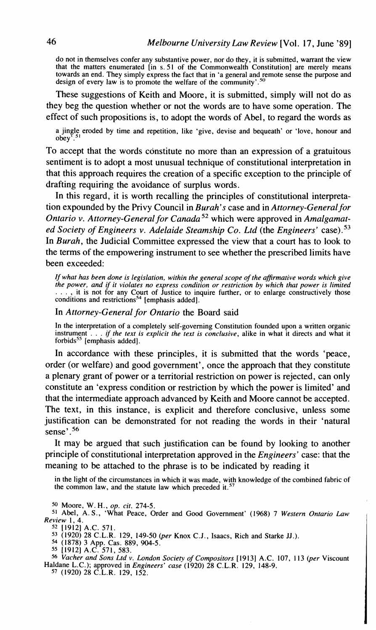do not in themselves confer any substantive power, nor do they, it is submitted, warrant the view that the matters enumerated [in s. 51 of the Commonwealth Constitution] are merely means towards an end. They simply express the fact that in 'a general and remote sense the purpose and design of every law is to promote the welfare of the community'.<sup>50</sup>

These suggestions of Keith and Moore, it is submitted, simply will not do as they beg the question whether or not the words are to have some operation. The effect of such propositions is, to adopt the words of Abel, to regard the words as

a jingle eroded by time and repetition, like 'give, devise and bequeath' or 'love, honour and  $obev<sup>7</sup>$ .

To accept that the words constitute no more than an expression of a gratuitous sentiment is to adopt a most unusual technique of constitutional interpretation in that this approach requires the creation of a specific exception to the principle of drafting requiring the avoidance of surplus words.

In this regard, it is worth recalling the principles of constitutional interpretation expounded by the Privy Council in *Burah's* case and in *Attorney-General for Ontario v. Attorney-General for canada5\** which were approved in *Amalgamated Society of Engineers v. Adelaide Steamship Co. Ltd (the Engineers' case).*<sup>53</sup> In *Burah,* the Judicial Committee expressed the view that a court has to look to the terms of the empowering instrument to see whether the prescribed limits have been exceeded:

*If what has been done is legislation, within the general scope of the aflrmative words which give the power, and if it violates no express condition or restriction by which that power* **is** *limited*   $\ldots$ , it is not for any Court of Justice to inquire further, or to enlarge constructively those conditions and restrictions<sup>54</sup> [emphasis added].

In *Attorney-General for Ontario* the Board said

In the interpretation of a completely self-governing Constitution founded upon a written organic instrument . . . *if the text is explicit the text is conclusive*, alike in what it directs and what it forbids<sup>55</sup> [emphasis added].

In accordance with these principles, it is submitted that the words 'peace, order (or welfare) and good government', once the approach that they constitute a plenary grant of power or a territorial restriction on power is rejected, can only constitute an 'express condition or restriction by which the power is limited' and that the intermediate approach advanced by Keith and Moore cannot be accepted. The text, in this instance, is explicit and therefore conclusive, unless some justification can be demonstrated for not reading the words in their 'natural sense'. *<sup>56</sup>*

It may be argued that such justification can be found by looking to another principle of constitutional interpretation approved in the *Engineers'* case: that the meaning to be attached to the phrase is to be indicated by reading it

in the light of the circumstances in which it was made, with knowledge of the combined fabric of the common law, and the statute law which preceded it.<sup>57</sup>

**50** Moore, W. H., *op. cit.* 274-5.

<sup>51</sup> Abel, A. S., 'What Peace, Order and Good Government' (1968) 7 *Western Ontario Law Rev~ew* I. 4.

**<sup>52</sup>**[1912] A.C. 571.

53 (1920) 28 C.L.R. 129, 149-50 *@er* Knox C.J., Isaacs, Rich and Starke JJ.). 54 (1878) 3 App. Cas. 889, 904-5.

**<sup>56</sup>***~ache; and Sons Ltd* **v.** *London Societv of Compositors* [I 9 131 A.C. 107, 1 13 *@er* Viscount Haldane L.C.); approved in *Engineers' case* (1920) 28 C.L.R. 129, 148-9.<br><sup>57</sup> (1920) 28 C.L.R. 129, 152.

<sup>55 119121</sup> A.C. 571. 583.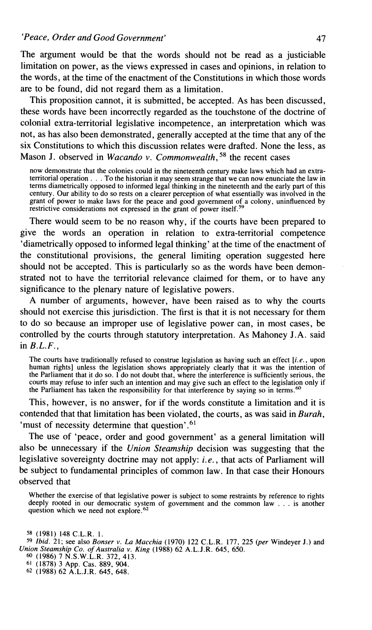The argument would be that the words should not be read as a justiciable limitation on power, as the views expressed in cases and opinions, in relation to the words, at the time of the enactment of the Constitutions in which those words are to be found, did not regard them as a limitation.

This proposition cannot, it is submitted, be accepted. As has been discussed, these words have been incorrectly regarded as the touchstone of the doctrine of colonial extra-territorial legislative incompetence, an interpretation which was not, as has also been demonstrated, generally accepted at the time that any of the six Constitutions to which this discussion relates were drafted. None the less, as Mason J. observed in *Wacando* v. *Commonwealth,* **58** the recent cases

now demonstrate that the colonies could in the nineteenth century make laws which had an extraterritorial operation . . . To the historian it may seem strange that we can now enunciate the law in terms diametrically opposed to informed legal thinking in the nineteenth and the early part of this century. Our ability to do so rests on a clearer perception of what essentially was involved in the grant of power to make laws for the peace and good government of a colony, uninfluenced by restrictive considerations not expressed in the grant of power itself.<sup>59</sup>

There would seem to be no reason why, if the courts have been prepared to give the words an operation in relation to extra-territorial competence 'diametrically opposed to informed legal thinking' at the time of the enactment of the constitutional provisions, the general limiting operation suggested here should not be accepted. This is particularly so as the words have been demonstrated not to have the territorial relevance claimed for them, or to have any significance to the plenary nature of legislative powers.

A number of arguments, however, have been raised as to why the courts should not exercise this jurisdiction. The first is that it is not necessary for them to do so because an improper use of legislative power can, in most cases, be controlled by the courts through statutory interpretation. As Mahoney J.A. said in *B.L.F.,* 

The courts have traditionally refused to construe legislation as having such an effect *[i.e.,* upon human rights] unless the legislation shows appropriately clearly that it was the intention of the Parliament that it do so. **1** do not doubt that, where the interference is sufficiently serious, the courts may refuse to infer such an intention and may give such an effect to the legislation only if the Parliament has taken the responsibility for that interference by saying so in terms.<sup>60</sup>

This, however, is no answer, for if the words constitute a limitation and it is contended that that limitation has been violated, the courts, as was said in *Burah,*  'must of necessity determine that question'. $61$ 

The use of 'peace, order and good government' as a general limitation will also be unnecessary if the *Union Steamship* decision was suggesting that the legislative sovereignty doctrine may not apply: *i.e.,* that acts of Parliament will be subject to fundamental principles of common law. In that case their Honours observed that

Whether the exercise of that legislative power is subject to some restraints by reference to rights deeply rooted in our democratic system of government and the common law  $\ldots$  is another question which we need not explore.<sup>62</sup>

**<sup>58</sup>**(1981) 148 C.L.R. 1.

**j9** *Ibid.* 21; see also *Bonser v. La Macchia* (1970) 122 C.L.R. 177, 225 *(per* Windeyer J.) and *Union Steamship Co. of Australia v. King* (1988) 62 A.L.J.R. 645, 650. *60* (1986) 7 N.S.W.L.R. 372, 413.

**<sup>6&#</sup>x27;** (1878) 3 App. Cas. 889, 904.

**<sup>62</sup>** (1988) 62 A.L.J.R. 645, 648.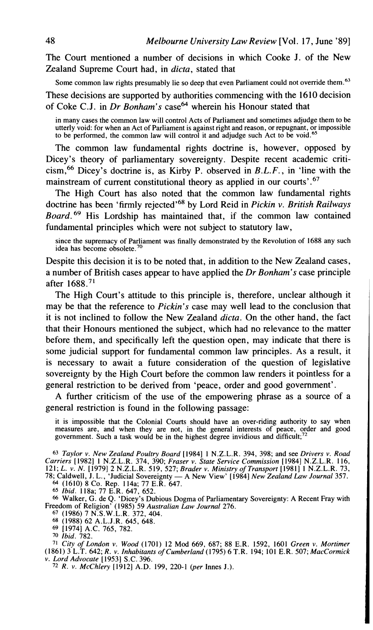The Court mentioned a number of decisions in which Cooke J, of the New Zealand Supreme Court had, in *dicta,* stated that

Some common law rights presumably lie so deep that even Parliament could not override them.<sup>63</sup>

These decisions are supported by authorities commencing with the 1610 decision of Coke C.J. in *Dr Bonham's* case<sup>64</sup> wherein his Honour stated that

in many cases the common law will control Acts of Parliament and sometimes adjudge them to be utterly void: for when an Act of Parliament is against right and reason, or repugnant, or impossible to be performed, the common law will control it and adjudge such Act to be void.<sup>65</sup>

The common law fundamental rights doctrine is, however, opposed by Dicey's theory of parliamentary sovereignty. Despite recent academic criti-  $\sin^{66}$  Dicey's doctrine is, as Kirby P. observed in *B.L.F.*, in 'line with the mainstream of current constitutional theory as applied in our courts'. $67$ 

The High Court has also noted that the common law fundamental rights doctrine has been 'firmly rejected'68 by Lord Reid in *Pickin v. British Railways Board.69* His Lordship has maintained that, if the common law contained fundamental principles which were not subject to statutory law,

since the supremacy of Parliament was finally demonstrated by the Revolution of 1688 any such idea has become obsolete.<sup>70</sup>

Despite this decision it is to be noted that, in addition to the New Zealand cases, a number of British cases appear to have applied the *Dr Bonham's* case principle after  $1688.71$ 

The High Court's attitude to this principle is, therefore, unclear although it may be that the reference to *Pickin's* case may well lead to the conclusion that it is not inclined to follow the New Zealand *dicta.* On the other hand, the fact that their Honours mentioned the subject, which had no relevance to the matter before them, and specifically left the question open, may indicate that there is some judicial support for fundamental common law principles. As a result, it is necessary to await a future consideration of the question of legislative sovereignty by the High Court before the common law renders it pointless for a general restriction to be derived from 'peace, order and good government'.

A further criticism of the use of the empowering phrase as a source of a general restriction is found in the following passage:

it is impossible that the Colonial Courts should have an over-riding authority to say when<br>measures are, and when they are not, in the general interests of peace, order and good<br>government. Such a task would be in the high

**63** *Taylor v. New Zealand Poultry Board* [I9841 1 N.Z.L.R. 394, 398; and see *Drivers v. Road Carriers* [I9821 1 N.Z.L.R. 374, 390; *Fraser* v. *State Service Commission* [I9841 N.Z.L.R. 1 16, 121; *L.* v. *N.* [I9791 2 N.Z.L.R. 519, 527; *Brader v. Ministry of Transport* [I9811 1 N.Z.L.R. 73, Carriers [1982] 1 N.Z.L.R. 374, 390; Fraser v. State Service Commission [1984] N.Z.L.R. 116, 121; L. v. N. [1979] 2 N.Z.L.R. 519, 527; Brader v. Ministry of Transport [1981] 1 N.Z.L.R. 73, 78; Caldwell, J. L., 'Judicial So

*66* Walker, G. de Q. 'Dicey's Dubious Dogma of Parliamentary Sovereignty: A Recent Fray with Freedom of Religion' (1985) 59 *Australian Law Journal* 276.

**67** (1986) 7 N.S.W.L.R. 372, 404.

**68** (1988) 62 A.L.J.R. 645, 648. **69** [I9741 A.C. 765, 782.

**70** *Ibid.* 782.

<sup>71</sup> City of London v. Wood (1701) 12 Mod 669, 687; 88 E.R. 1592, 1601 Green v. Mortimer<br>(1861) 3 L.T. 642; R. v. Inhabitants of Cumberland (1795) 6 T.R. 194; 101 E.R. 507; MacCormick v. *Lord Advocate* [1953] S.C. 396.

**'2** *R. V. McChlery* [I9121 A.D. 199, 220-1 *(per* Innes J.).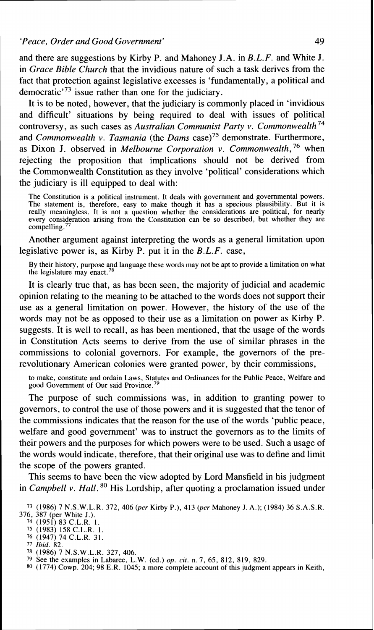and there are suggestions by Kirby P. and Mahoney J.A. in *B.L.F.* and White *J.*  in *Grace Bible Church* that the invidious nature of such a task derives from the fact that protection against legislative excesses is 'fundamentally, a political and democratic<sup> $-73$ </sup> issue rather than one for the judiciary.

It is to be noted, however, that the judiciary is commonly placed in 'invidious and difficult' situations by being required to deal with issues of political controversy, as such cases as *Australian Communist Party v. Commonwealth*<sup>74</sup> and *Commonwealth v. Tasmania* (the *Dams* case)75 demonstrate. Furthermore, as Dixon J. observed in *Melbourne Corporation v. Commonwealth*,<sup>76</sup> when rejecting the proposition that implications should not be derived from the Commonwealth Constitution as they involve 'political' considerations which the judiciary is ill equipped to deal with:

The Constitution is a political instrument. It deals with government and governmental powers. The statement is, therefore, easy to make though it has a specious plausibility. But it is really meaningless. It is not a question whether the considerations are political, for nearly every consideration arising from the Constitution can be so described, but whether they are compelling.<sup>77</sup>

Another argument against interpreting the words as a general limitation upon legislative power is, as Kirby P. put it in the *B.L.F.* case,

By their history, purpose and language these words may not be apt to provide a limitation on what the legislature may enact.78

It is clearly true that, as has been seen, the majority of judicial and academic opinion relating to the meaning to be attached to the words does not support their use as a general limitation on power. However, the history of the use of the words may not be as opposed to their use as a limitation on power as Kirby P. suggests. It is well to recall, as has been mentioned, that the usage of the words in Constitution Acts seems to derive from the use of similar phrases in the commissions to colonial governors. For example, the governors of the prerevolutionary American colonies were granted power, by their commissions,

to make, constitute and ordain Laws, Statutes and Ordinances for the Public Peace, Welfare and good Government of Our said Province.<sup>7</sup>

The purpose of such commissions was, in addition to granting power to governors, to control the use of those powers and it is suggested that the tenor of the commissions indicates that the reason for the use of the words 'public peace, welfare and good government' was to instruct the governors as to the limits of their powers and the purposes for which powers were to be used. Such a usage of the words would indicate, therefore, that their original use was to define and limit the scope of the powers granted.

This seems to have been the view adopted by Lord Mansfield in his judgment in *Campbell v. Hall.* <sup>80</sup> His Lordship, after quoting a proclamation issued under

<sup>73 (1986) 7</sup> N.S.W.L.R. 372, 406 *(per* Kirby P.), 413 *@er* Mahoney J. **A,);** (1984) 36 S.A.S.R.

<sup>74 (1951) 83</sup> C.L.R. 1.

<sup>75 (1983) 158</sup> C.L.R. 1. **<sup>76</sup>**(1947) 74 C.L.R. 31. 77 **Ibid.** 82.

**<sup>78</sup>**(1986) 7 N.S.W.L.R. 327, 406. 79 See the examples in Labaree, L.W. (ed.) op. **cit.** n. 7, 65, 812, 819, 829.

**<sup>80</sup>** (1774) Cowp. 204; 98 E.R. 1045; a more complete account of this judgment appears in Keith,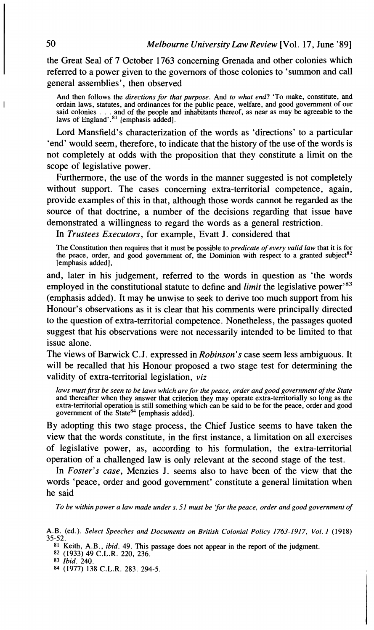the Great Seal of 7 October 1763 concerning Grenada and other colonies which referred to a power given to the governors of those colonies to 'summon and call general assemblies', then observed

And then follows the *directions for that purpose*. And *to what end?* 'To make, constitute, and ordain laws, statutes, and ordinances for the public peace, welfare, and good government of our ordain laws, statutes, and ordinances for the public peace, welfare, and good government of our<br>said colonies . . . and of the people and inhabitants thereof, as near as may be agreeable to the<br>laws of England'.<sup>81</sup> [empha

Lord Mansfield's characterization of the words as 'directions' to a particular 'end' would seem, therefore, to indicate that the history of the use of the words is not completely at odds with the proposition that they constitute a limit on the scope of legislative power.

Furthermore, the use of the words in the manner suggested is not completely without support. The cases concerning extra-territorial competence, again, provide examples of this in that, although those words cannot be regarded as the source of that doctrine, a number of the decisions regarding that issue have demonstrated a willingness to regard the words as a general restriction.

In *Trustees Executors,* for example, Evatt J. considered that

The Constitution then requires that it must be possible to *predicate of every valid law* that it is for the peace, order, and good government of, the Dominion with respect to a granted subject<sup>82</sup> [emphasis added].

and, later in his judgement, referred to the words in question as 'the words employed in the constitutional statute to define and *limit* the legislative power<sup>83</sup> (emphasis added). It may be unwise to seek to derive too much support from his Honour's observations as it is clear that his comments were principally directed to the question of extra-territorial competence. Nonetheless, the passages quoted suggest that his observations were not necessarily intended to be limited to that issue alone.

The views of Barwick C.J. expressed in *Robinson's* case seem less ambiguous. It will be recalled that his Honour proposed a two stage test for determining the validity of extra-territorial legislation, *viz* 

l*aws must first be seen to be laws which are for the peace, order and good government of the State*<br>and thereafter when they answer that criterion they may operate extra-territorially so long as the extra-territorial operation is still something which can be said to be for the peace, order and good government of the State $84$  [emphasis added].

By adopting this two stage process, the Chief Justice seems to have taken the view that the words constitute, in the first instance, a limitation on all exercises of legislative power, as, according to his formulation, the extra-territorial operation of a challenged law is only relevant at the second stage of the test.

In *Foster's case,* Menzies J. seems also to have been of the view that the words 'peace, order and good government' constitute a general limitation when he said

*To be within power a law made under s.* 51 *must be 'jor the peace, order and good government of* 

**81** Keith, A.B., *ibid.* 49. This passage does not appear in the report of the judgment. **82** (1933) 49 C.L.R. 220, 236.

**84** (1977) 138 C.L.R. 283. 294-5.

I

A.B. (ed.). *Select Speeches and Documents on British Colonial Policy 1763-1917, Vol. 1* (1918) 35-52.

**<sup>83</sup>** *Ibid.* 240.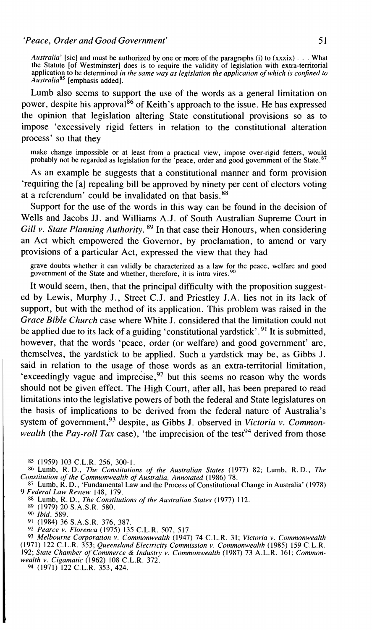*Australia'* [sic] and must be authorized by one or more of the paragraphs (i) to (xxxix) . . . What the Statute [of Westminster] does is to require the validity of legislation with extra-territorial application to be determined *in the same way as legislation the application of which is confined to AustraliaR5* [emphasis added].

Lumb also seems to support the use of the words as a general limitation on power, despite his approval<sup>86</sup> of Keith's approach to the issue. He has expressed the opinion that legislation altering State constitutional provisions so as to impose 'excessively rigid fetters in relation to the constitutional alteration process' so that they

make change impossible or at least from a practical view, impose over-rigid fetters, would probably not be regarded as legislation for the 'peace, order and good government of the State.<sup>87</sup>

As an example he suggests that a constitutional manner and form provision 'requiring the [a] repealing bill be approved by ninety per cent of electors voting at a referendum' could be invalidated on that basis.<sup>88</sup>

Support for the use of the words in this way can be found in the decision of Wells and Jacobs JJ. and Williams A.J. of South Australian Supreme Court in *Gill* v. *State Planning Authority.* 89 In that case their Honours, when considering an Act which empowered the Governor, by proclamation, to amend or vary provisions of a particular Act, expressed the view that they had

grave doubts whether it can validly be characterized as a law for the peace, welfare and good government of the State and whether, therefore, it is intra vires.<sup>90</sup>

It would seem, then, that the principal difficulty with the proposition suggested by Lewis, Murphy J., Street C.J. and Priestley J.A. lies not in its lack of support, but with the method of its application. This problem was raised in the *Grace Bible Church* case where White J. considered that the limitation could not be applied due to its lack of a guiding 'constitutional yardstick'.<sup>91</sup> It is submitted, however, that the words 'peace, order (or welfare) and good government' are, themselves, the yardstick to be applied. Such a yardstick may be, as Gibbs J. said in relation to the usage of those words as an extra-territorial limitation, 'exceedingly vague and imprecise,  $92$  but this seems no reason why the words should not be given effect. The High Court, after all, has been prepared to read limitations into the legislative powers of both the federal and State legislatures on the basis of implications to be derived from the federal nature of Australia's system of government,<sup>93</sup> despite, as Gibbs J. observed in *Victoria v. Commonwealth* (the *Pay-roll Tax* case), 'the imprecision of the test<sup>94</sup> derived from those

**8s** (1959) 103 C.L.R. 256, 300-1. **86** Lumb, R. **D.,** *The Constitutions of the Australian States* (1977) 82; Lumb, R. D., *The Constitution of the Commonwealth of Australia, Annotated* (1986) 78.

**87** Lumb, R. **D.,** 'Fundamental Law and the Process of Constitutional Change in Australia' (1978) 9 Federal Law Review 148, 179.

**88** Lumb, R. **D.,** *The Constitutions of the Australian States* (1977) 112.

**89** (1979) 20 S.A.S.R. 580.

*Ibid.* 589.

**9'** (1984) 36 S.A.S.R. 376, 387.

**92** *Pearce v. Florenca* (1975) 135 C.L.R. 507, 517.

**93** *Melbourne Corporation v. Commonwealth* (1947) 74 C.L.R. 31; *Victoria* v. *Commonwealth*  (197 1) 122 C.L.R. 353; *Queensland Electricity Commission v. Commonwealth* (1985) 159 C.L.R. 192; *State Chamber of Commerce* & *Industry v. Commonwealth* (1987) 73 A.L.R. 161; *Common-wealth* v. *Cigamatic* (1962) 108 C.L.R. 372.

**94** (1971) 122 C.L.R. 353, 424.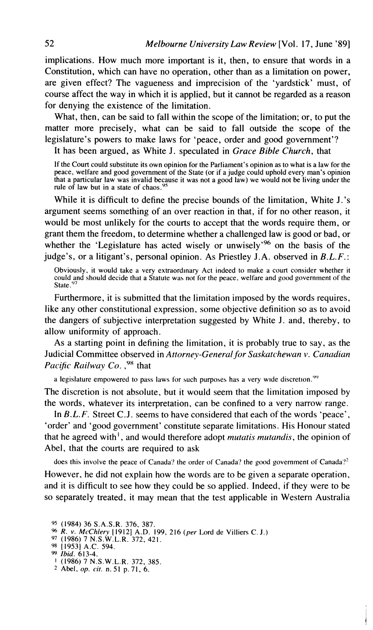implications. How much more important is it, then, to ensure that words in a Constitution, which can have no operation, other than as a limitation on power, are given effect? The vagueness and imprecision of the 'yardstick' must, of course affect the way in which it is applied, but it cannot be regarded as a reason for denying the existence of the limitation.

What, then, can be said to fall within the scope of the limitation; or, to put the matter more precisely, what can be said to fall outside the scope of the legislature's powers to make laws for 'peace, order and good government'?

It has been argued, as White J. speculated in *Grace Bible Church,* that

If the Court could substitute its own opinion for the Parliament's opinion as to what is a law for the peace, welfare and good government of the State (or if a judge could uphold every man's opinion that a particular law was invalid because it was not a good law) we would not be living under the rule of law but in a state of chaos.<sup>95</sup>

While it is difficult to define the precise bounds of the limitation, White J.'s argument seems something of an over reaction in that, if for no other reason, it would be most unlikely for the courts to accept that the words require them, or grant them the freedom, to determine whether a challenged law is good or bad, or whether the 'Legislature has acted wisely or unwisely'<sup>96</sup> on the basis of the judge's, or a litigant's, personal opinion. As Priestley J.A. observed in *B.L.F.:* 

Obviously. it would take a very extraordinary Act indeed to make a court consider whether it could and should decide that a Statute was not for the peace, welfare and good government of the State.<sup>9</sup>

Furthermore, it is submitted that the limitation imposed by the words requires, like any other constitutional expression, some objective definition so as to avoid the dangers of subjective interpretation suggested by White J. and, thereby, to allow uniformity of approach.

As a starting point in defining the limitation, it is probably true to say, as the Judicial Committee observed in *Attornev-Generu1,for Su.skatc.hewan* **v.** *Cunadiun Pacific Railway Co.* <sup>98</sup> that

a legislature empowered to pass laws for such purposes has a very wide discretion.<sup>99</sup>

The discretion is not absolute, but it would seem that the limitation imposed by the words, whatever its interpretation, can be confined to a very narrow range.

In *B.L.F.* Street C.J. seems to have considered that each of the words 'peace', 'order' and 'good government' constitute separate limitations. His Honour stated that he agreed with'. and would therefore adopt *mutatis mutundis,* the opinion of Abel, that the courts are required to ask

does this involve the peace of Canada? the order of Canada? the good government of Canada?'

However, he did not explain how the words are to be given a separate operation, and it is difficult to see how they could be so applied. Indeed, if they were to be so separately treated, it may mean that the test applicable in Western Australia

**<sup>95</sup>**(1984) 36 S.A.S.R. 376. 387.

<sup>%</sup> *R.* **v.** *McChlery* 119121 *A.D. 199,* 216 *(per* Lord de Villiers C. J.) 97 (1986) 7 N.S.W.L.R. 372, 421.

**<sup>98</sup>**[I9531 A.C. 594. **9 Ibid.** 613-4.

<sup>1</sup>(1986) 7 N.S.W.L.R. 372, 385.

<sup>2</sup> Abel, *op. cir.* n.51 p.71, 6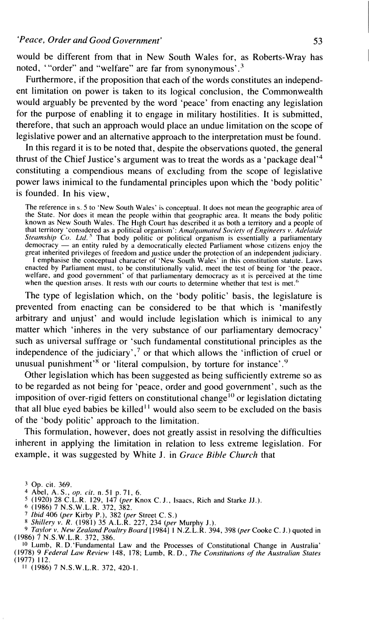would be different from that in New South Wales for, as Roberts-Wray has noted, '"order" and "welfare" are far from synonymous'.3

Furthermore, if the proposition that each of the words constitutes an independent limitation on power is taken to its logical conclusion, the Commonwealth would arguably be prevented by the word 'peace' from enacting any legislation for the purpose of enabling it to engage in military hostilities. It is submitted, therefore, that such an approach would place an undue limitation on the scope of legislative power and an alternative approach to the interpretation must be found.

In this regard it is to be noted that, despite the observations quoted, the general thrust of the Chief Justice's argument was to treat the words as a 'package deal'4 constituting a compendious means of excluding from the scope of legislative power laws inimical to the fundamental principles upon which the 'body politic' is founded. In his view,

The reference in s. 5 to 'New South Wales' is conceptual. It does not mean the geographic area of the State. Nor does it mean the people within that geographic area. It means the body politic known as New South Wales. The High Court has described it as both a territory and a people of that territory 'cons~dered as a political organism': *Atnulgumcrted Society* of *Engineers* **v.** *Adelride Steumship Co. Ltd.* That body politic or political organism is essentially a parliamentary that territory 'considered as a political organism': Amalgamated Society of Engineers v. Adelaide Steamship Co. Ltd.<sup>5</sup> That body politic or political organism is essentially a parliamentary democracy — an entity ruled by great inherited privileges of freedom and justice under the protection of an independent judiciary. I emphasise the conceptual character of 'New South Wales' in this constitution statute. Laws enacted by Parliament must, to be constitutionally valid, meet the test of being for 'the peace, eller is enco<br>welfare, and good government' of that parliamentary democracy as it is perceived at the time when the question arises. It rests with our courts to determine whether that test is met."

The type of legislation which, on the 'body politic' basis, the legislature is prevented from enacting can be considered to be that which is 'manifestly arbitrary and unjust' and would include legislation which is inimical to any matter which 'inheres in the very substance of our parliamentary democracy' such as universal suffrage or 'such fundamental constitutional principles as the independence of the judiciary',<sup>7</sup> or that which allows the 'infliction of cruel or unusual punishment'<sup>8</sup> or 'literal compulsion, by torture for instance'.<sup>9</sup>

Other legislation which has been suggested as being sufficiently extreme so as to be regarded as not being for 'peace, order and good government', such as the imposition of over-rigid fetters on constitutional change<sup>10</sup> or legislation dictating that all blue eyed babies be killed<sup> $11$ </sup> would also seem to be excluded on the basis of the 'body politic' approach to the limitation.

This formulation, however, does not greatly assist in resolving the difficulties inherent in applying the limitation in relation to less extreme legislation. For example, it was suggested by White J. in *Gruce Bible Church* that

- 
- *<sup>6</sup>*(1986) 7 N.S.W.L.R. 372, 382. 7 *Ibid* 406 *(per* Kirby P.), 382 *(per* Street C. S.)

*8 Shillery v. R.* (1981) 35 A.L.R. 227, 234 (per Murphy J.).

**<sup>9</sup>***~uylr>r~v. New Zealand Poultry Bourd* [ 19841 1 **N.z.L.R.** 394,398 *(per* Cooke C. **J.)** quoted in (1986) 7 N.S.W.L.R. 372. 386.

10 Lumb, R. D. 'Fundamental Law and the Processes of Constitutional Change in Australia' (1978) 9 *Federal Law Review* 148, 178; Lumb, R. D., *The Constitutions of the Australian States* 

(1977) 112. 11 (1986) 7 N.S.W.L.R. 372, 420-1.

<sup>&</sup>lt;sup>3</sup> Op. cit. 369.

<sup>&</sup>lt;sup>1</sup> Abel, A.S., *op. cit.* n. 51 p. 71, 6.<br><sup>5</sup> (1920) 28 C.L.R. 129, 147 (*per* Knox C. J., Isaacs, Rich and Starke JJ.).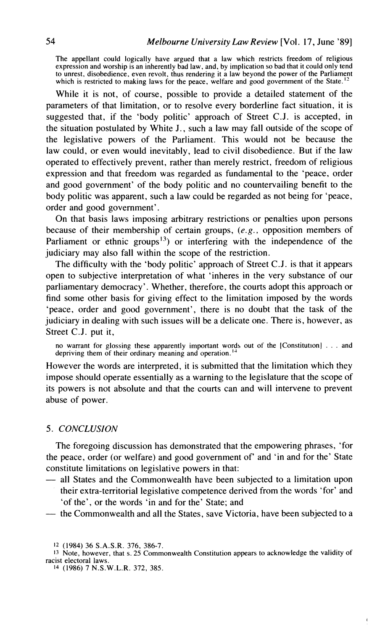**The appellant could logically have argued that a law which restricts freedom of religious expression and worship is an inherently bad law, and, by implication so bad that it could only tend to unrest, disobedience, even revolt, thus rendering it a law beyond the power of the Parliament**  which is restricted to making laws for the peace, welfare and good government of the State.<sup>12</sup>

While it is not, of course, possible to provide a detailed statement of the parameters of that limitation, or to resolve every borderline fact situation, it is suggested that, if the 'body politic' approach of Street C.J. is accepted, in the situation postulated by White J., such a law may fall outside of the scope of the legislative powers of the Parliament. This would not be because the law could, or even would inevitably, lead to civil disobedience. But if the law operated to effectively prevent, rather than merely restrict, freedom of religious expression and that freedom was regarded as fundamental to the 'peace, order and good government' of the body politic and no countervailing benefit to the body politic was apparent, such a law could be regarded as not being for 'peace, order and good government'.

On that basis laws imposing arbitrary restrictions or penalties upon persons because of their membership of certain groups, *(e.g.,* opposition members of Parliament or ethnic groups<sup>13</sup>) or interfering with the independence of the judiciary may also fall within the scope of the restriction.

The difficulty with the 'body politic' approach of Street C.J. is that it appears open to subjective interpretation of what 'inheres in the very substance of our parliamentary democracy'. Whether, therefore, the courts adopt this approach or find some other basis for giving effect to the limitation imposed by the words 'peace, order and good government', there is no doubt that the task of the judiciary in dealing with such issues will be a delicate one. There is, however, as Street C.J. put it,

no warrant for glossing these apparently important words out of the [Constitution] . . . and **depriving them of their ordinary meaning and operation.** ''

However the words are interpreted, it is submitted that the limitation which they impose should operate essentially as a warning to the legislature that the scope of its powers is not absolute and that the courts can and will intervene to prevent abuse of power.

## *5. CONCLUSION*

The foregoing discussion has demonstrated that the empowering phrases, 'for the peace, order (or welfare) and good government of' and 'in and for the' State constitute limitations on legislative powers in that:

- all States and the Commonwealth have been subjected to a limitation upon their extra-territorial legislative competence derived from the words 'for' and 'of the', or the words 'in and for the' State; and
- the Commonwealth and all the States, save Victoria, have been subjected to a

**14 (1986) 7 N.S.W.L.R. 372, 385.** 

**<sup>12 (1984) 36</sup> S.A.S.R. 376, 386-7.** 

<sup>13</sup> **Note, however, that s. 25 Commonwealth Constitution appears to acknowledge the validity of racist electoral laws.**